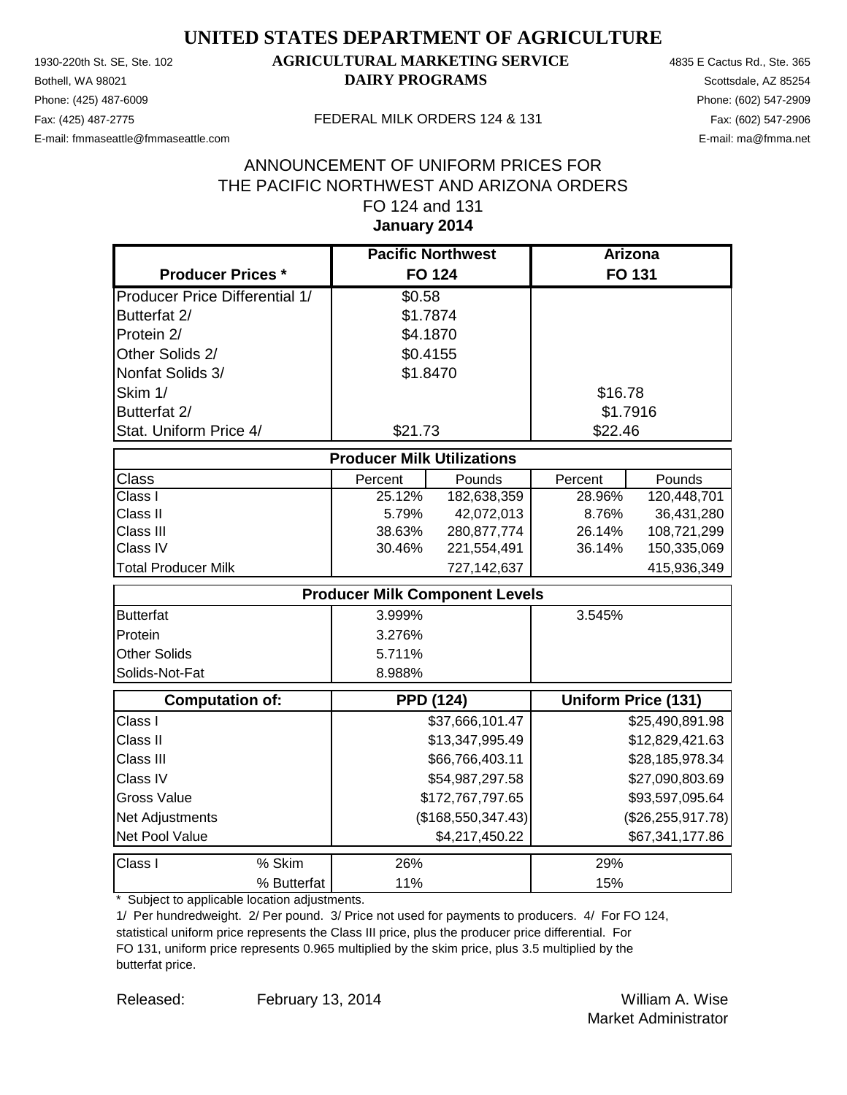Phone: (425) 487-6009 Phone: (602) 547-2909 E-mail: fmmaseattle@fmmaseattle.com E-mail: ma@fmma.net

## 1930-220th St. SE, Ste. 102 **AGRICULTURAL MARKETING SERVICE** 4835 E Cactus Rd., Ste. 365 **Bothell, WA 98021 DAIRY PROGRAMS** Scottsdale, AZ 85254

#### Fax: (425) 487-2775 FEDERAL MILK ORDERS 124 & 131

### **January 2014** ANNOUNCEMENT OF UNIFORM PRICES FOR THE PACIFIC NORTHWEST AND ARIZONA ORDERS FO 124 and 131

|                                       | <b>Pacific Northwest</b>              |                  | Arizona  |                            |
|---------------------------------------|---------------------------------------|------------------|----------|----------------------------|
| <b>Producer Prices *</b>              | <b>FO 124</b>                         |                  |          | <b>FO 131</b>              |
| <b>Producer Price Differential 1/</b> | \$0.58                                |                  |          |                            |
| Butterfat 2/                          | \$1.7874                              |                  |          |                            |
| Protein 2/                            | \$4.1870                              |                  |          |                            |
| Other Solids 2/                       | \$0.4155                              |                  |          |                            |
| Nonfat Solids 3/                      | \$1.8470                              |                  |          |                            |
| Skim 1/                               |                                       |                  | \$16.78  |                            |
| Butterfat 2/                          |                                       |                  | \$1.7916 |                            |
| Stat. Uniform Price 4/                | \$21.73                               |                  | \$22.46  |                            |
|                                       | <b>Producer Milk Utilizations</b>     |                  |          |                            |
| <b>Class</b>                          | Percent                               | Pounds           | Percent  | Pounds                     |
| Class I                               | 25.12%                                | 182,638,359      | 28.96%   | 120,448,701                |
| Class II                              | 5.79%                                 | 42,072,013       | 8.76%    | 36,431,280                 |
| Class III                             | 38.63%                                | 280,877,774      | 26.14%   | 108,721,299                |
| Class IV                              | 30.46%                                | 221,554,491      | 36.14%   | 150,335,069                |
| <b>Total Producer Milk</b>            |                                       | 727,142,637      |          | 415,936,349                |
|                                       | <b>Producer Milk Component Levels</b> |                  |          |                            |
| <b>Butterfat</b>                      | 3.999%                                |                  | 3.545%   |                            |
| Protein                               | 3.276%                                |                  |          |                            |
| <b>Other Solids</b>                   | 5.711%                                |                  |          |                            |
| Solids-Not-Fat                        | 8.988%                                |                  |          |                            |
| <b>Computation of:</b>                | <b>PPD (124)</b>                      |                  |          | <b>Uniform Price (131)</b> |
| Class I                               |                                       | \$37,666,101.47  |          | \$25,490,891.98            |
| Class II                              |                                       | \$13,347,995.49  |          | \$12,829,421.63            |
| Class III                             |                                       | \$66,766,403.11  |          | \$28,185,978.34            |
| Class IV                              |                                       | \$54,987,297.58  |          | \$27,090,803.69            |
| <b>Gross Value</b>                    |                                       | \$172,767,797.65 |          | \$93,597,095.64            |
| Net Adjustments                       | (\$168,550,347.43)                    |                  |          | (\$26, 255, 917.78)        |
| Net Pool Value                        |                                       | \$4,217,450.22   |          | \$67,341,177.86            |
| Class I<br>% Skim                     | 26%                                   |                  | 29%      |                            |
| % Butterfat                           | 11%                                   |                  | 15%      |                            |

\* Subject to applicable location adjustments.

1/ Per hundredweight. 2/ Per pound. 3/ Price not used for payments to producers. 4/ For FO 124, statistical uniform price represents the Class III price, plus the producer price differential. For FO 131, uniform price represents 0.965 multiplied by the skim price, plus 3.5 multiplied by the butterfat price.

Released: William A. Wise February 13, 2014 Market Administrator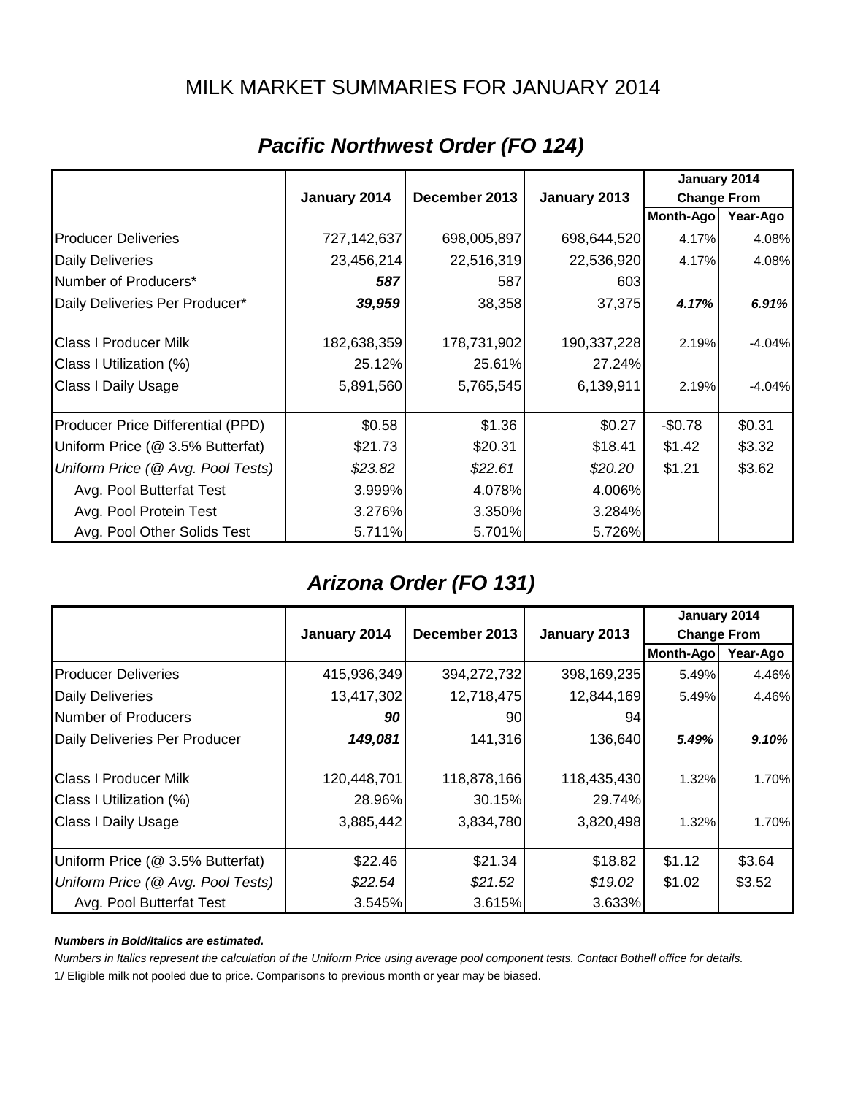## MILK MARKET SUMMARIES FOR JANUARY 2014

|                                   |              |               |              | January 2014       |          |
|-----------------------------------|--------------|---------------|--------------|--------------------|----------|
|                                   | January 2014 | December 2013 | January 2013 | <b>Change From</b> |          |
|                                   |              |               |              | Month-Ago          | Year-Ago |
| <b>Producer Deliveries</b>        | 727,142,637  | 698,005,897   | 698,644,520  | 4.17%              | 4.08%    |
| <b>Daily Deliveries</b>           | 23,456,214   | 22,516,319    | 22,536,920   | 4.17%              | 4.08%    |
| Number of Producers*              | 587          | 587           | 603          |                    |          |
| Daily Deliveries Per Producer*    | 39,959       | 38,358        | 37,375       | 4.17%              | 6.91%    |
| <b>Class I Producer Milk</b>      | 182,638,359  | 178,731,902   | 190,337,228  | 2.19%              | $-4.04%$ |
| Class I Utilization (%)           | 25.12%       | 25.61%        | 27.24%       |                    |          |
| <b>Class I Daily Usage</b>        | 5,891,560    | 5,765,545     | 6,139,911    | 2.19%              | $-4.04%$ |
| Producer Price Differential (PPD) | \$0.58       | \$1.36        | \$0.27       | $-$0.78$           | \$0.31   |
| Uniform Price (@ 3.5% Butterfat)  | \$21.73      | \$20.31       | \$18.41      | \$1.42             | \$3.32   |
| Uniform Price (@ Avg. Pool Tests) | \$23.82      | \$22.61       | \$20.20      | \$1.21             | \$3.62   |
| Avg. Pool Butterfat Test          | 3.999%       | 4.078%        | 4.006%       |                    |          |
| Avg. Pool Protein Test            | 3.276%       | 3.350%        | 3.284%       |                    |          |
| Avg. Pool Other Solids Test       | 5.711%       | 5.701%        | 5.726%       |                    |          |

# *Pacific Northwest Order (FO 124)*

## *Arizona Order (FO 131)*

|                                   |              |               |              | January 2014       |          |
|-----------------------------------|--------------|---------------|--------------|--------------------|----------|
|                                   | January 2014 | December 2013 | January 2013 | <b>Change From</b> |          |
|                                   |              |               |              | Month-Ago          | Year-Ago |
| <b>Producer Deliveries</b>        | 415,936,349  | 394,272,732   | 398,169,235  | 5.49%              | 4.46%    |
| <b>Daily Deliveries</b>           | 13,417,302   | 12,718,475    | 12,844,169   | 5.49%              | 4.46%    |
| Number of Producers               | 90           | 90            | 94           |                    |          |
| Daily Deliveries Per Producer     | 149,081      | 141,316       | 136,640      | 5.49%              | 9.10%    |
| <b>Class I Producer Milk</b>      | 120,448,701  | 118,878,166   | 118,435,430  | 1.32%              | 1.70%    |
| Class I Utilization (%)           | 28.96%       | 30.15%        | 29.74%       |                    |          |
| <b>Class I Daily Usage</b>        | 3,885,442    | 3,834,780     | 3,820,498    | 1.32%              | 1.70%    |
| Uniform Price (@ 3.5% Butterfat)  | \$22.46      | \$21.34       | \$18.82      | \$1.12             | \$3.64   |
| Uniform Price (@ Avg. Pool Tests) | \$22.54      | \$21.52       | \$19.02      | \$1.02             | \$3.52   |
| Avg. Pool Butterfat Test          | 3.545%       | 3.615%        | 3.633%       |                    |          |

#### *Numbers in Bold/Italics are estimated.*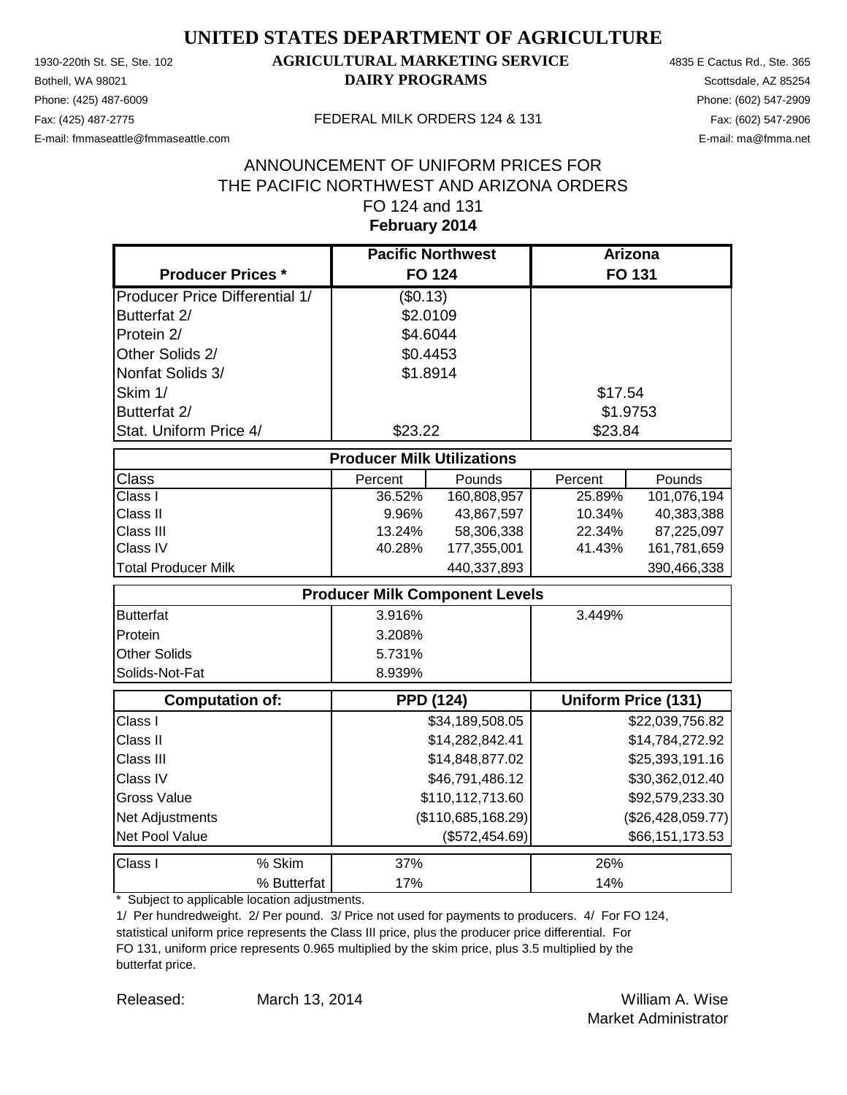Phone: (425) 487-6009 Phone: (602) 547-2909 E-mail: fmmaseattle@fmmaseattle.com E-mail: ma@fmma.net

## 1930-220th St. SE, Ste. 102 **AGRICULTURAL MARKETING SERVICE** 4835 E Cactus Rd., Ste. 365 **Bothell, WA 98021 DAIRY PROGRAMS** Scottsdale, AZ 85254

#### Fax: (425) 487-2775 FEDERAL MILK ORDERS 124 & 131

## **February 2014** ANNOUNCEMENT OF UNIFORM PRICES FOR THE PACIFIC NORTHWEST AND ARIZONA ORDERS FO 124 and 131

|                                       | <b>Pacific Northwest</b>              |                  | Arizona           |                            |
|---------------------------------------|---------------------------------------|------------------|-------------------|----------------------------|
| <b>Producer Prices *</b>              |                                       | <b>FO 124</b>    |                   | <b>FO 131</b>              |
| <b>Producer Price Differential 1/</b> | (\$0.13)                              |                  |                   |                            |
| Butterfat 2/                          | \$2.0109                              |                  |                   |                            |
| Protein 2/                            | \$4.6044                              |                  |                   |                            |
| Other Solids 2/                       | \$0.4453                              |                  |                   |                            |
| Nonfat Solids 3/                      | \$1.8914                              |                  |                   |                            |
| Skim 1/                               |                                       |                  | \$17.54           |                            |
| Butterfat 2/                          |                                       |                  | \$1.9753          |                            |
| Stat. Uniform Price 4/                | \$23.22                               |                  | \$23.84           |                            |
|                                       | <b>Producer Milk Utilizations</b>     |                  |                   |                            |
| Class                                 | Percent                               | Pounds           | Percent           | Pounds                     |
| Class I                               | 36.52%                                | 160,808,957      | 25.89%            | 101,076,194                |
| Class II                              | 9.96%                                 | 43,867,597       | 10.34%            | 40,383,388                 |
| Class III                             | 13.24%                                | 58,306,338       | 22.34%            | 87,225,097                 |
| Class IV                              | 40.28%                                | 177,355,001      | 41.43%            | 161,781,659                |
| <b>Total Producer Milk</b>            |                                       | 440,337,893      |                   | 390,466,338                |
|                                       | <b>Producer Milk Component Levels</b> |                  |                   |                            |
| <b>Butterfat</b>                      | 3.916%                                |                  | 3.449%            |                            |
| Protein                               | 3.208%                                |                  |                   |                            |
| Other Solids                          | 5.731%                                |                  |                   |                            |
| Solids-Not-Fat                        | 8.939%                                |                  |                   |                            |
| <b>Computation of:</b>                |                                       | <b>PPD (124)</b> |                   | <b>Uniform Price (131)</b> |
| Class I                               |                                       | \$34,189,508.05  |                   | \$22,039,756.82            |
| Class II                              |                                       | \$14,282,842.41  |                   | \$14,784,272.92            |
| Class III                             |                                       | \$14,848,877.02  |                   | \$25,393,191.16            |
| Class IV                              |                                       | \$46,791,486.12  |                   | \$30,362,012.40            |
| <b>Gross Value</b>                    |                                       | \$110,112,713.60 |                   | \$92,579,233.30            |
| Net Adjustments                       | (\$110,685,168.29)                    |                  | (\$26,428,059.77) |                            |
| Net Pool Value                        |                                       | (\$572,454.69)   |                   | \$66,151,173.53            |
| % Skim<br>Class I                     | 37%                                   |                  | 26%               |                            |
| % Butterfat                           | 17%                                   |                  | 14%               |                            |

\* Subject to applicable location adjustments.

1/ Per hundredweight. 2/ Per pound. 3/ Price not used for payments to producers. 4/ For FO 124, statistical uniform price represents the Class III price, plus the producer price differential. For FO 131, uniform price represents 0.965 multiplied by the skim price, plus 3.5 multiplied by the butterfat price.

Released: William A. Wise March 13, 2014 Market Administrator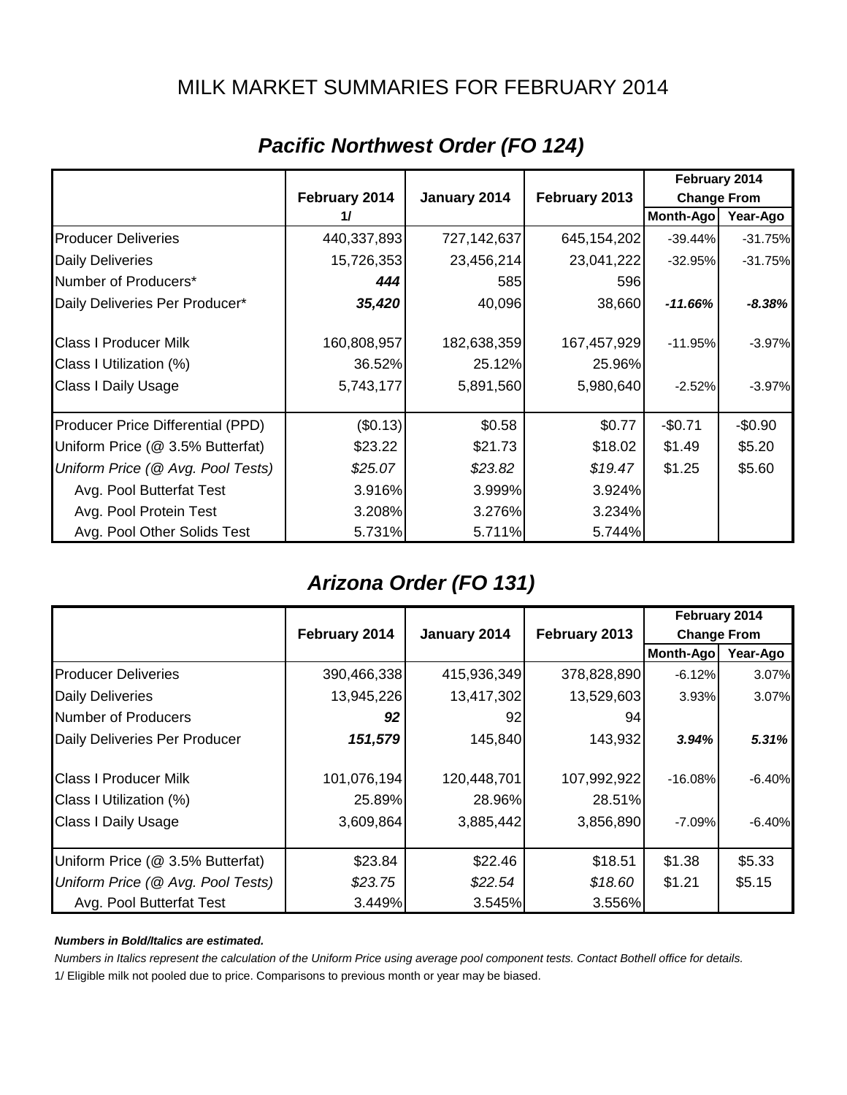## MILK MARKET SUMMARIES FOR FEBRUARY 2014

|                                   |               | February 2014 |               |                    |           |
|-----------------------------------|---------------|---------------|---------------|--------------------|-----------|
|                                   | February 2014 | January 2014  | February 2013 | <b>Change From</b> |           |
|                                   | 11            |               |               | Month-Ago          | Year-Ago  |
| <b>Producer Deliveries</b>        | 440,337,893   | 727,142,637   | 645, 154, 202 | $-39.44%$          | $-31.75%$ |
| <b>Daily Deliveries</b>           | 15,726,353    | 23,456,214    | 23,041,222    | $-32.95%$          | $-31.75%$ |
| Number of Producers*              | 444           | 585           | 596           |                    |           |
| Daily Deliveries Per Producer*    | 35,420        | 40,096        | 38,660        | $-11.66%$          | $-8.38\%$ |
| <b>Class I Producer Milk</b>      | 160,808,957   | 182,638,359   | 167,457,929   | $-11.95%$          | $-3.97%$  |
| Class I Utilization (%)           | 36.52%        | 25.12%        | 25.96%        |                    |           |
| <b>Class I Daily Usage</b>        | 5,743,177     | 5,891,560     | 5,980,640     | $-2.52%$           | $-3.97%$  |
| Producer Price Differential (PPD) | (\$0.13)      | \$0.58        | \$0.77        | $-$0.71$           | $-$0.90$  |
| Uniform Price (@ 3.5% Butterfat)  | \$23.22       | \$21.73       | \$18.02       | \$1.49             | \$5.20    |
| Uniform Price (@ Avg. Pool Tests) | \$25.07       | \$23.82       | \$19.47       | \$1.25             | \$5.60    |
| Avg. Pool Butterfat Test          | 3.916%        | 3.999%        | 3.924%        |                    |           |
| Avg. Pool Protein Test            | 3.208%        | 3.276%        | 3.234%        |                    |           |
| Avg. Pool Other Solids Test       | 5.731%        | 5.711%        | 5.744%        |                    |           |

# *Pacific Northwest Order (FO 124)*

## *Arizona Order (FO 131)*

|                                   |               |              |               |                    | February 2014 |
|-----------------------------------|---------------|--------------|---------------|--------------------|---------------|
|                                   | February 2014 | January 2014 | February 2013 | <b>Change From</b> |               |
|                                   |               |              |               | Month-Ago          | Year-Ago      |
| <b>Producer Deliveries</b>        | 390,466,338   | 415,936,349  | 378,828,890   | $-6.12%$           | 3.07%         |
| <b>Daily Deliveries</b>           | 13,945,226    | 13,417,302   | 13,529,603    | 3.93%              | 3.07%         |
| Number of Producers               | 92            | 92           | 94            |                    |               |
| Daily Deliveries Per Producer     | 151,579       | 145,840      | 143,932       | 3.94%              | 5.31%         |
| <b>Class I Producer Milk</b>      | 101,076,194   | 120,448,701  | 107,992,922   | $-16.08%$          | $-6.40%$      |
| Class I Utilization (%)           | 25.89%        | 28.96%       | 28.51%        |                    |               |
| <b>Class I Daily Usage</b>        | 3,609,864     | 3,885,442    | 3,856,890     | $-7.09\%$          | $-6.40%$      |
| Uniform Price (@ 3.5% Butterfat)  | \$23.84       | \$22.46      | \$18.51       | \$1.38             | \$5.33        |
| Uniform Price (@ Avg. Pool Tests) | \$23.75       | \$22.54      | \$18.60       | \$1.21             | \$5.15        |
| Avg. Pool Butterfat Test          | 3.449%        | 3.545%       | 3.556%        |                    |               |

#### *Numbers in Bold/Italics are estimated.*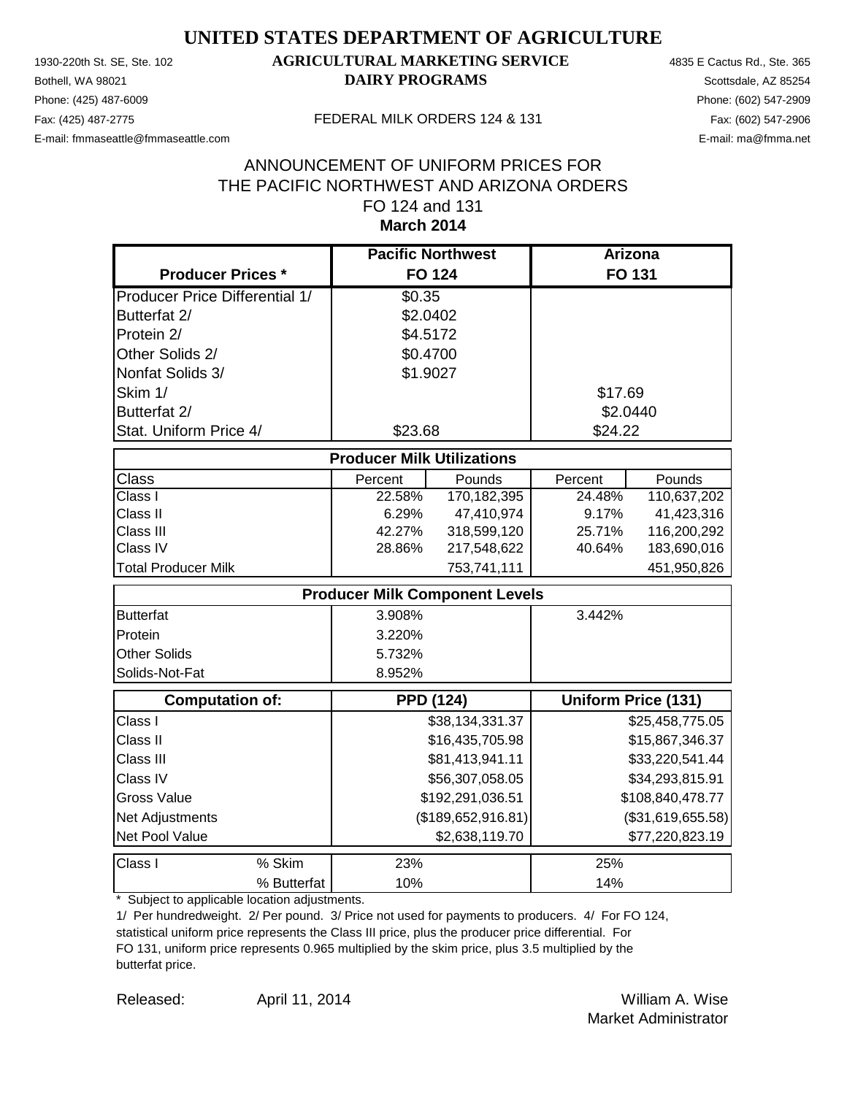Phone: (425) 487-6009 Phone: (602) 547-2909 E-mail: fmmaseattle@fmmaseattle.com E-mail: ma@fmma.net

## 1930-220th St. SE, Ste. 102 **AGRICULTURAL MARKETING SERVICE** 4835 E Cactus Rd., Ste. 365 **Bothell, WA 98021 DAIRY PROGRAMS** Scottsdale, AZ 85254

#### Fax: (425) 487-2775 FEDERAL MILK ORDERS 124 & 131

#### **March 2014** ANNOUNCEMENT OF UNIFORM PRICES FOR THE PACIFIC NORTHWEST AND ARIZONA ORDERS FO 124 and 131

|                                       | <b>Pacific Northwest</b>              |                 |                   | <b>Arizona</b>             |
|---------------------------------------|---------------------------------------|-----------------|-------------------|----------------------------|
| <b>Producer Prices *</b>              | <b>FO 124</b>                         |                 |                   | FO 131                     |
| <b>Producer Price Differential 1/</b> | \$0.35                                |                 |                   |                            |
| Butterfat 2/                          | \$2.0402                              |                 |                   |                            |
| Protein 2/                            | \$4.5172                              |                 |                   |                            |
| Other Solids 2/                       | \$0.4700                              |                 |                   |                            |
| Nonfat Solids 3/                      | \$1.9027                              |                 |                   |                            |
| Skim 1/                               |                                       |                 | \$17.69           |                            |
| Butterfat 2/                          |                                       |                 | \$2.0440          |                            |
| Stat. Uniform Price 4/                | \$23.68                               |                 | \$24.22           |                            |
|                                       | <b>Producer Milk Utilizations</b>     |                 |                   |                            |
| <b>Class</b>                          | Percent                               | Pounds          | Percent           | Pounds                     |
| Class I                               | 22.58%                                | 170,182,395     | 24.48%            | 110,637,202                |
| Class II                              | 6.29%                                 | 47,410,974      | 9.17%             | 41,423,316                 |
| Class III                             | 42.27%                                | 318,599,120     | 25.71%            | 116,200,292                |
| Class IV                              | 28.86%                                | 217,548,622     | 40.64%            | 183,690,016                |
| <b>Total Producer Milk</b>            |                                       | 753,741,111     |                   | 451,950,826                |
|                                       | <b>Producer Milk Component Levels</b> |                 |                   |                            |
| <b>Butterfat</b>                      | 3.908%                                |                 | 3.442%            |                            |
| Protein                               | 3.220%                                |                 |                   |                            |
| <b>Other Solids</b>                   | 5.732%                                |                 |                   |                            |
| Solids-Not-Fat                        | 8.952%                                |                 |                   |                            |
| <b>Computation of:</b>                | <b>PPD (124)</b>                      |                 |                   | <b>Uniform Price (131)</b> |
| Class I                               |                                       | \$38,134,331.37 |                   | \$25,458,775.05            |
| Class II                              |                                       | \$16,435,705.98 |                   | \$15,867,346.37            |
| Class III                             |                                       | \$81,413,941.11 |                   | \$33,220,541.44            |
| Class IV                              |                                       | \$56,307,058.05 |                   | \$34,293,815.91            |
| <b>Gross Value</b>                    | \$192,291,036.51                      |                 |                   | \$108,840,478.77           |
| Net Adjustments                       | (\$189,652,916.81)                    |                 | (\$31,619,655.58) |                            |
| Net Pool Value                        |                                       | \$2,638,119.70  |                   | \$77,220,823.19            |
| % Skim<br>Class I                     | 23%                                   |                 | 25%               |                            |
| % Butterfat                           | 10%                                   |                 | 14%               |                            |

\* Subject to applicable location adjustments.

1/ Per hundredweight. 2/ Per pound. 3/ Price not used for payments to producers. 4/ For FO 124, statistical uniform price represents the Class III price, plus the producer price differential. For FO 131, uniform price represents 0.965 multiplied by the skim price, plus 3.5 multiplied by the butterfat price.

Released: William A. Wise April 11, 2014 Market Administrator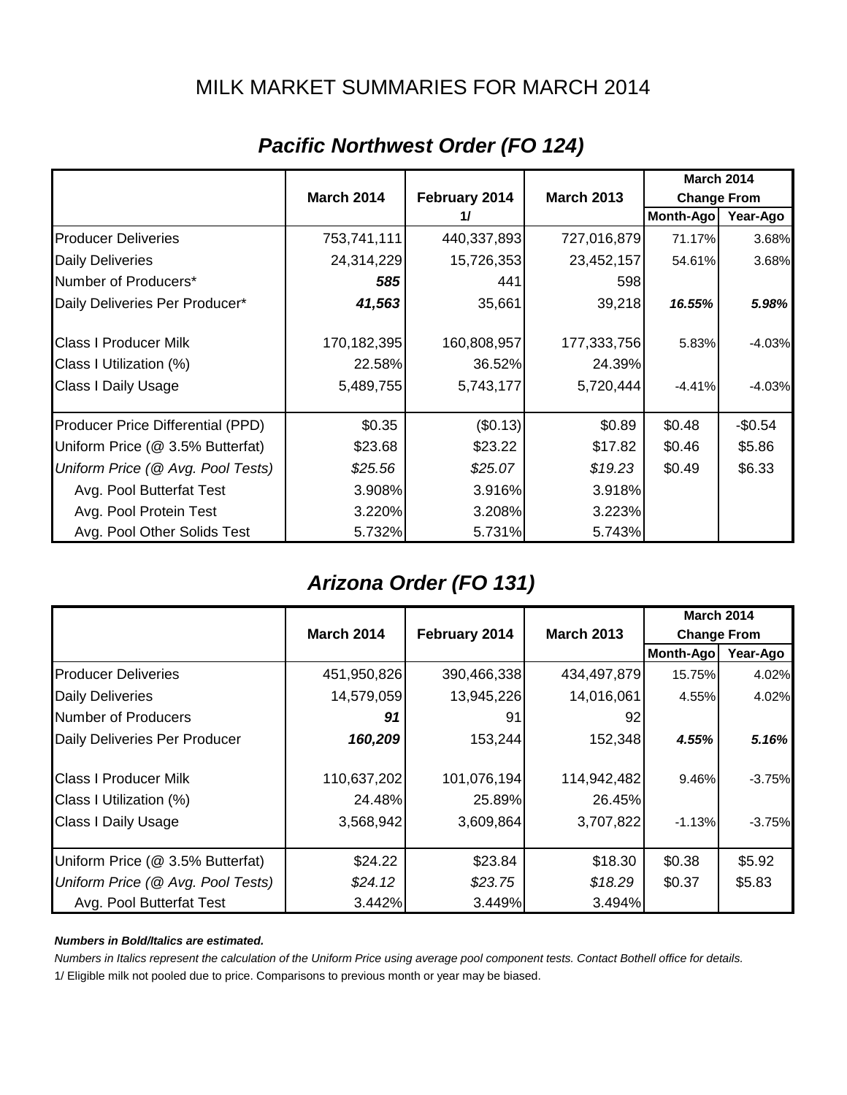## MILK MARKET SUMMARIES FOR MARCH 2014

|                                   |                   |               | <b>March 2014</b> |                    |          |
|-----------------------------------|-------------------|---------------|-------------------|--------------------|----------|
|                                   | <b>March 2014</b> | February 2014 | <b>March 2013</b> | <b>Change From</b> |          |
|                                   |                   | 11            |                   | Month-Ago          | Year-Ago |
| <b>Producer Deliveries</b>        | 753,741,111       | 440,337,893   | 727,016,879       | 71.17%             | 3.68%    |
| <b>Daily Deliveries</b>           | 24,314,229        | 15,726,353    | 23,452,157        | 54.61%             | 3.68%    |
| Number of Producers*              | 585               | 441           | 598               |                    |          |
| Daily Deliveries Per Producer*    | 41,563            | 35,661        | 39,218            | 16.55%             | 5.98%    |
| <b>Class I Producer Milk</b>      | 170,182,395       | 160,808,957   | 177,333,756       | 5.83%              | $-4.03%$ |
| Class I Utilization (%)           | 22.58%            | 36.52%        | 24.39%            |                    |          |
| <b>Class I Daily Usage</b>        | 5,489,755         | 5,743,177     | 5,720,444         | $-4.41%$           | $-4.03%$ |
| Producer Price Differential (PPD) | \$0.35            | (\$0.13)      | \$0.89            | \$0.48             | $-$0.54$ |
| Uniform Price (@ 3.5% Butterfat)  | \$23.68           | \$23.22       | \$17.82           | \$0.46             | \$5.86   |
| Uniform Price (@ Avg. Pool Tests) | \$25.56           | \$25.07       | \$19.23           | \$0.49             | \$6.33   |
| Avg. Pool Butterfat Test          | 3.908%            | 3.916%        | 3.918%            |                    |          |
| Avg. Pool Protein Test            | 3.220%            | 3.208%        | 3.223%            |                    |          |
| Avg. Pool Other Solids Test       | 5.732%            | 5.731%        | 5.743%            |                    |          |

# *Pacific Northwest Order (FO 124)*

# *Arizona Order (FO 131)*

|                                   |                   |               |                   | <b>March 2014</b>  |          |
|-----------------------------------|-------------------|---------------|-------------------|--------------------|----------|
|                                   | <b>March 2014</b> | February 2014 | <b>March 2013</b> | <b>Change From</b> |          |
|                                   |                   |               |                   | Month-Ago          | Year-Ago |
| <b>Producer Deliveries</b>        | 451,950,826       | 390,466,338   | 434,497,879       | 15.75%             | 4.02%    |
| <b>Daily Deliveries</b>           | 14,579,059        | 13,945,226    | 14,016,061        | 4.55%              | 4.02%    |
| Number of Producers               | 91                | 91            | 92                |                    |          |
| Daily Deliveries Per Producer     | 160,209           | 153,244       | 152,348           | 4.55%              | 5.16%    |
| <b>Class I Producer Milk</b>      | 110,637,202       | 101,076,194   | 114,942,482       | 9.46%              | $-3.75%$ |
| Class I Utilization (%)           | 24.48%            | 25.89%        | 26.45%            |                    |          |
| <b>Class I Daily Usage</b>        | 3,568,942         | 3,609,864     | 3,707,822         | $-1.13%$           | $-3.75%$ |
| Uniform Price (@ 3.5% Butterfat)  | \$24.22           | \$23.84       | \$18.30           | \$0.38             | \$5.92   |
| Uniform Price (@ Avg. Pool Tests) | \$24.12           | \$23.75       | \$18.29           | \$0.37             | \$5.83   |
| Avg. Pool Butterfat Test          | 3.442%            | 3.449%        | 3.494%            |                    |          |

#### *Numbers in Bold/Italics are estimated.*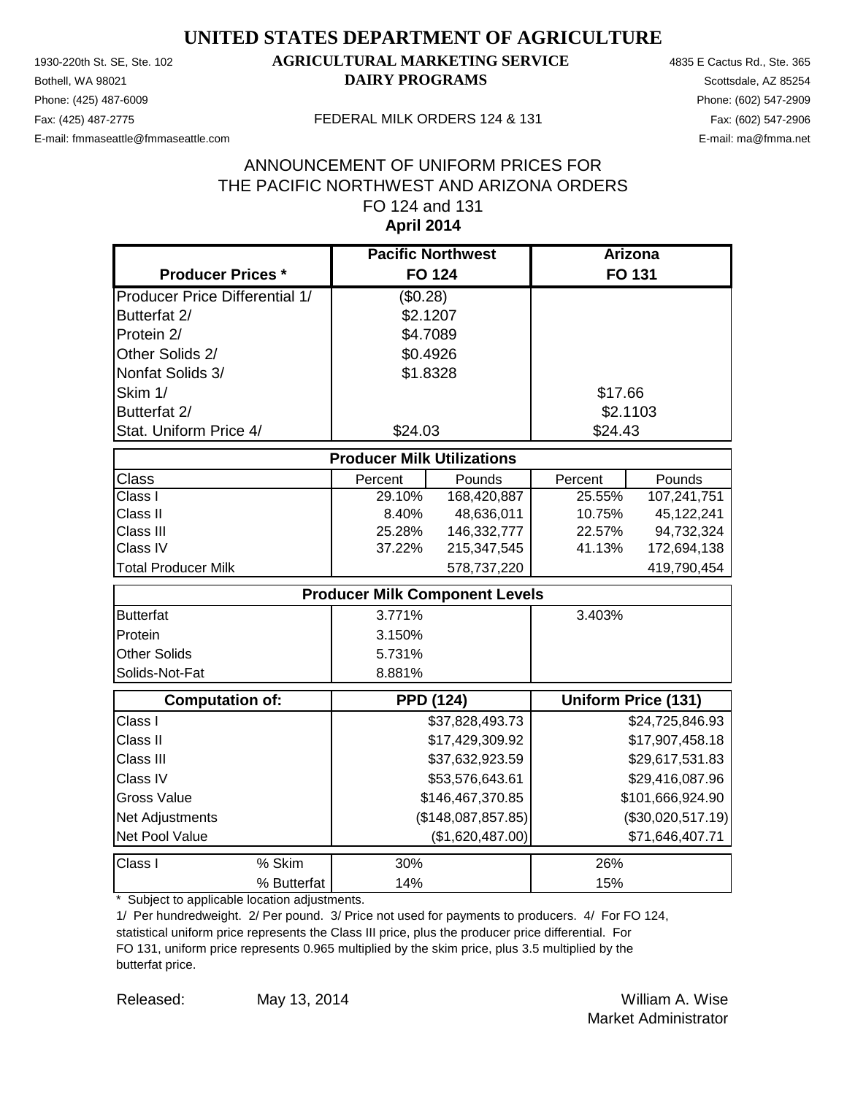Phone: (425) 487-6009 Phone: (602) 547-2909 E-mail: fmmaseattle@fmmaseattle.com E-mail: ma@fmma.net

## 1930-220th St. SE, Ste. 102 **AGRICULTURAL MARKETING SERVICE** 4835 E Cactus Rd., Ste. 365 **Bothell, WA 98021 DAIRY PROGRAMS** Scottsdale, AZ 85254

#### Fax: (425) 487-2775 FEDERAL MILK ORDERS 124 & 131

#### **April 2014** ANNOUNCEMENT OF UNIFORM PRICES FOR THE PACIFIC NORTHWEST AND ARIZONA ORDERS FO 124 and 131

|                                       |         | <b>Pacific Northwest</b> |                                       | <b>Arizona</b> |                            |
|---------------------------------------|---------|--------------------------|---------------------------------------|----------------|----------------------------|
| <b>Producer Prices *</b>              |         | <b>FO 124</b>            |                                       |                | FO 131                     |
| <b>Producer Price Differential 1/</b> |         | (\$0.28)                 |                                       |                |                            |
| Butterfat 2/                          |         | \$2.1207                 |                                       |                |                            |
| Protein 2/                            |         | \$4.7089                 |                                       |                |                            |
| Other Solids 2/                       |         | \$0.4926                 |                                       |                |                            |
| Nonfat Solids 3/                      |         | \$1.8328                 |                                       |                |                            |
| Skim 1/                               |         |                          |                                       | \$17.66        |                            |
| Butterfat 2/                          |         |                          |                                       | \$2.1103       |                            |
| Stat. Uniform Price 4/                |         | \$24.03                  |                                       | \$24.43        |                            |
|                                       |         |                          | <b>Producer Milk Utilizations</b>     |                |                            |
| Class                                 | Percent |                          | Pounds                                | Percent        | Pounds                     |
| Class I                               | 29.10%  |                          | 168,420,887                           | 25.55%         | 107,241,751                |
| Class II                              |         | 8.40%                    | 48,636,011                            | 10.75%         | 45,122,241                 |
| Class III                             | 25.28%  |                          | 146,332,777                           | 22.57%         | 94,732,324                 |
| Class IV                              | 37.22%  |                          | 215,347,545                           | 41.13%         | 172,694,138                |
| <b>Total Producer Milk</b>            |         |                          | 578,737,220                           |                | 419,790,454                |
|                                       |         |                          | <b>Producer Milk Component Levels</b> |                |                            |
| <b>Butterfat</b>                      | 3.771%  |                          |                                       | 3.403%         |                            |
| Protein                               | 3.150%  |                          |                                       |                |                            |
| Other Solids                          | 5.731%  |                          |                                       |                |                            |
| Solids-Not-Fat                        | 8.881%  |                          |                                       |                |                            |
| <b>Computation of:</b>                |         |                          | <b>PPD (124)</b>                      |                | <b>Uniform Price (131)</b> |
| Class I                               |         |                          | \$37,828,493.73                       |                | \$24,725,846.93            |
| Class II                              |         |                          | \$17,429,309.92                       |                | \$17,907,458.18            |
| Class III                             |         |                          | \$37,632,923.59                       |                | \$29,617,531.83            |
| Class IV                              |         |                          | \$53,576,643.61                       |                | \$29,416,087.96            |
| <b>Gross Value</b>                    |         |                          | \$146,467,370.85                      |                | \$101,666,924.90           |
| Net Adjustments                       |         |                          | (\$148,087,857.85)                    |                | (\$30,020,517.19)          |
| Net Pool Value                        |         |                          | (\$1,620,487.00)                      |                | \$71,646,407.71            |
| % Skim<br>Class I                     |         | 30%                      |                                       | 26%            |                            |
| % Butterfat                           |         | 14%                      |                                       | 15%            |                            |

\* Subject to applicable location adjustments.

1/ Per hundredweight. 2/ Per pound. 3/ Price not used for payments to producers. 4/ For FO 124, statistical uniform price represents the Class III price, plus the producer price differential. For FO 131, uniform price represents 0.965 multiplied by the skim price, plus 3.5 multiplied by the butterfat price.

Released: William A. Wise May 13, 2014 Market Administrator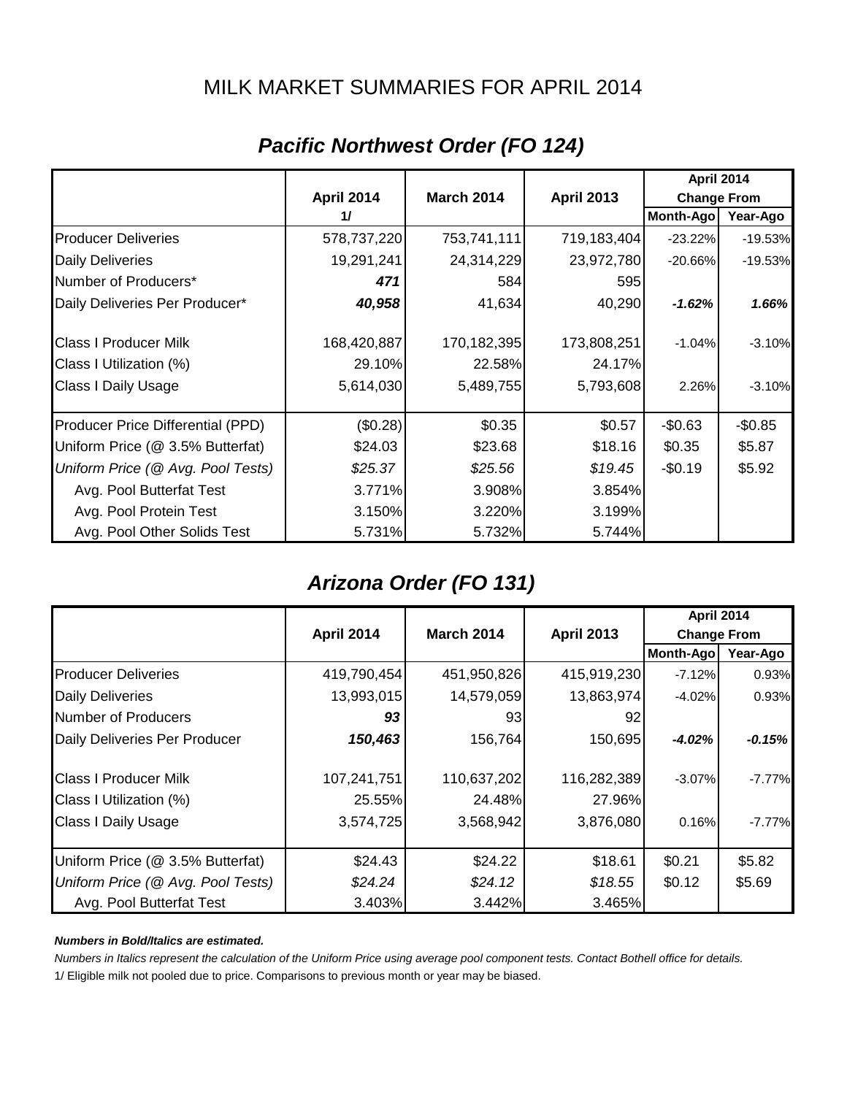## MILK MARKET SUMMARIES FOR APRIL 2014

|                                   | <b>April 2014</b> |                   |                   |                    |           |
|-----------------------------------|-------------------|-------------------|-------------------|--------------------|-----------|
|                                   | <b>April 2014</b> | <b>March 2014</b> | <b>April 2013</b> | <b>Change From</b> |           |
|                                   | 11                |                   |                   | Month-Ago          | Year-Ago  |
| <b>Producer Deliveries</b>        | 578,737,220       | 753,741,111       | 719,183,404       | $-23.22%$          | $-19.53%$ |
| <b>Daily Deliveries</b>           | 19,291,241        | 24,314,229        | 23,972,780        | $-20.66%$          | $-19.53%$ |
| Number of Producers*              | 471               | 584               | 595               |                    |           |
| Daily Deliveries Per Producer*    | 40,958            | 41,634            | 40,290            | $-1.62%$           | 1.66%     |
| <b>Class I Producer Milk</b>      | 168,420,887       | 170,182,395       | 173,808,251       | $-1.04%$           | $-3.10%$  |
| Class I Utilization (%)           | 29.10%            | 22.58%            | 24.17%            |                    |           |
| Class I Daily Usage               | 5,614,030         | 5,489,755         | 5,793,608         | 2.26%              | $-3.10%$  |
| Producer Price Differential (PPD) | (\$0.28)          | \$0.35            | \$0.57            | $-$0.63$           | $-$0.85$  |
| Uniform Price (@ 3.5% Butterfat)  | \$24.03           | \$23.68           | \$18.16           | \$0.35             | \$5.87    |
| Uniform Price (@ Avg. Pool Tests) | \$25.37           | \$25.56           | \$19.45           | $-$0.19$           | \$5.92    |
| Avg. Pool Butterfat Test          | 3.771%            | 3.908%            | 3.854%            |                    |           |
| Avg. Pool Protein Test            | 3.150%            | 3.220%            | 3.199%            |                    |           |
| Avg. Pool Other Solids Test       | 5.731%            | 5.732%            | 5.744%            |                    |           |

# *Pacific Northwest Order (FO 124)*

## *Arizona Order (FO 131)*

|                                   |                   |                   |                   |                    | <b>April 2014</b> |
|-----------------------------------|-------------------|-------------------|-------------------|--------------------|-------------------|
|                                   | <b>April 2014</b> | <b>March 2014</b> | <b>April 2013</b> | <b>Change From</b> |                   |
|                                   |                   |                   |                   | <b>Month-Ago</b>   | Year-Ago          |
| <b>Producer Deliveries</b>        | 419,790,454       | 451,950,826       | 415,919,230       | $-7.12%$           | 0.93%             |
| <b>Daily Deliveries</b>           | 13,993,015        | 14,579,059        | 13,863,974        | $-4.02%$           | 0.93%             |
| Number of Producers               | 93                | 93                | 92                |                    |                   |
| Daily Deliveries Per Producer     | 150,463           | 156,764           | 150,695           | $-4.02%$           | $-0.15%$          |
| <b>Class I Producer Milk</b>      | 107,241,751       | 110,637,202       | 116,282,389       | $-3.07%$           | $-7.77%$          |
| Class I Utilization (%)           | 25.55%            | 24.48%            | 27.96%            |                    |                   |
| <b>Class I Daily Usage</b>        | 3,574,725         | 3,568,942         | 3,876,080         | 0.16%              | $-7.77%$          |
| Uniform Price (@ 3.5% Butterfat)  | \$24.43           | \$24.22           | \$18.61           | \$0.21             | \$5.82            |
| Uniform Price (@ Avg. Pool Tests) | \$24.24           | \$24.12           | \$18.55           | \$0.12             | \$5.69            |
| Avg. Pool Butterfat Test          | 3.403%            | 3.442%            | 3.465%            |                    |                   |

#### *Numbers in Bold/Italics are estimated.*

*Numbers in Italics represent the calculation of the Uniform Price using average pool component tests. Contact Bothell office for details.*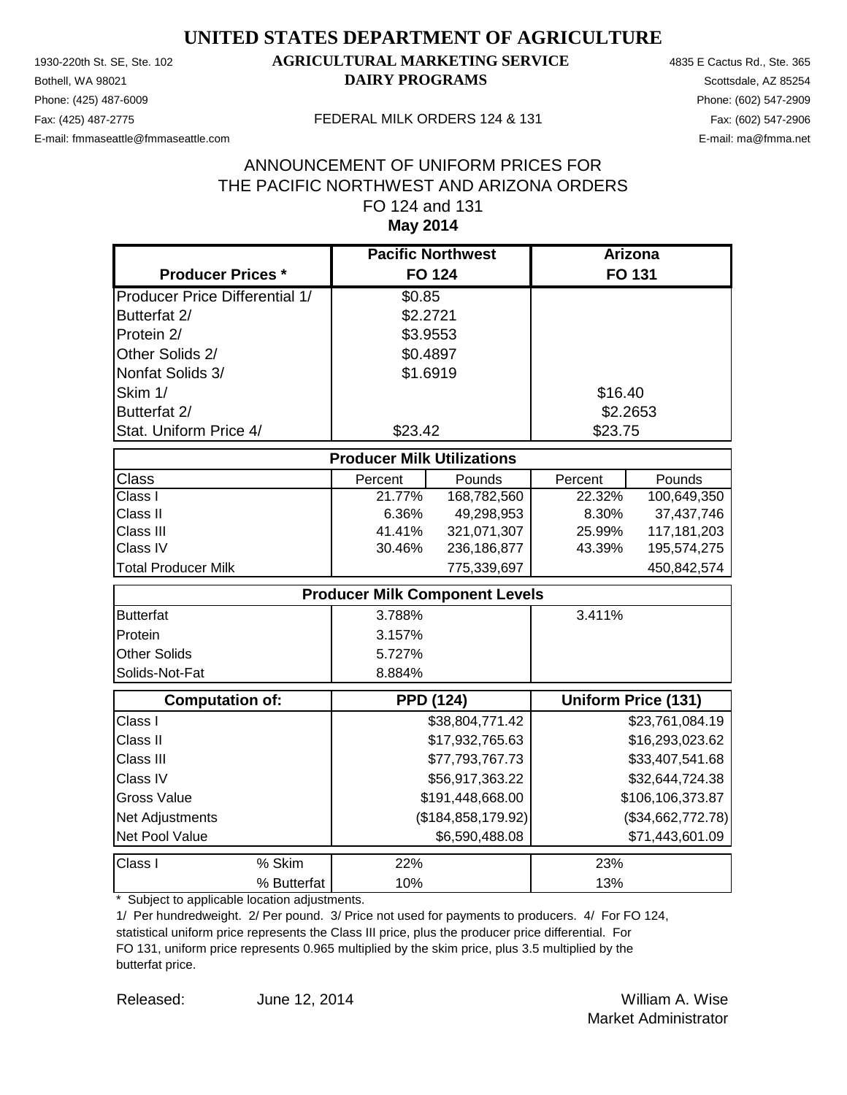Phone: (425) 487-6009 Phone: (602) 547-2909 E-mail: fmmaseattle@fmmaseattle.com E-mail: ma@fmma.net

## 1930-220th St. SE, Ste. 102 **AGRICULTURAL MARKETING SERVICE** 4835 E Cactus Rd., Ste. 365 **Bothell, WA 98021 DAIRY PROGRAMS** Scottsdale, AZ 85254

#### Fax: (425) 487-2775 FEDERAL MILK ORDERS 124 & 131

#### **May 2014** ANNOUNCEMENT OF UNIFORM PRICES FOR THE PACIFIC NORTHWEST AND ARIZONA ORDERS FO 124 and 131

|                                       | <b>Pacific Northwest</b>              |                      | <b>Arizona</b> |                            |
|---------------------------------------|---------------------------------------|----------------------|----------------|----------------------------|
| <b>Producer Prices *</b>              | <b>FO 124</b>                         |                      |                | <b>FO 131</b>              |
| <b>Producer Price Differential 1/</b> | \$0.85                                |                      |                |                            |
| Butterfat 2/                          | \$2.2721                              |                      |                |                            |
| Protein 2/                            | \$3.9553                              |                      |                |                            |
| Other Solids 2/                       | \$0.4897                              |                      |                |                            |
| Nonfat Solids 3/                      | \$1.6919                              |                      |                |                            |
| Skim 1/                               |                                       |                      | \$16.40        |                            |
| Butterfat 2/                          |                                       |                      |                | \$2.2653                   |
| Stat. Uniform Price 4/                | \$23.42                               |                      | \$23.75        |                            |
|                                       | <b>Producer Milk Utilizations</b>     |                      |                |                            |
| Class                                 | Percent                               | Pounds               | Percent        | Pounds                     |
| Class I                               | 21.77%                                | 168,782,560          | 22.32%         | 100,649,350                |
| Class II                              | 6.36%                                 | 49,298,953           | 8.30%          | 37,437,746                 |
| Class III                             | 41.41%                                | 321,071,307          | 25.99%         | 117, 181, 203              |
| Class IV                              | 30.46%                                | 236,186,877          | 43.39%         | 195,574,275                |
| <b>Total Producer Milk</b>            |                                       | 775,339,697          |                | 450,842,574                |
|                                       | <b>Producer Milk Component Levels</b> |                      |                |                            |
| <b>Butterfat</b>                      | 3.788%                                |                      | 3.411%         |                            |
| Protein                               | 3.157%                                |                      |                |                            |
| <b>Other Solids</b>                   | 5.727%                                |                      |                |                            |
| Solids-Not-Fat                        | 8.884%                                |                      |                |                            |
| <b>Computation of:</b>                | <b>PPD (124)</b>                      |                      |                | <b>Uniform Price (131)</b> |
| Class I                               |                                       | \$38,804,771.42      |                | \$23,761,084.19            |
| Class II                              |                                       | \$17,932,765.63      |                | \$16,293,023.62            |
| Class III                             |                                       | \$77,793,767.73      |                | \$33,407,541.68            |
| Class IV                              |                                       | \$56,917,363.22      |                | \$32,644,724.38            |
| <b>Gross Value</b>                    |                                       | \$191,448,668.00     |                | \$106,106,373.87           |
| Net Adjustments                       |                                       | (\$184, 858, 179.92) |                | (\$34,662,772.78)          |
| Net Pool Value                        |                                       | \$6,590,488.08       |                | \$71,443,601.09            |
| Class I<br>% Skim                     | 22%                                   |                      | 23%            |                            |
| % Butterfat                           | 10%                                   |                      | 13%            |                            |

\* Subject to applicable location adjustments.

1/ Per hundredweight. 2/ Per pound. 3/ Price not used for payments to producers. 4/ For FO 124, statistical uniform price represents the Class III price, plus the producer price differential. For FO 131, uniform price represents 0.965 multiplied by the skim price, plus 3.5 multiplied by the butterfat price.

Released: William A. Wise June 12, 2014 Market Administrator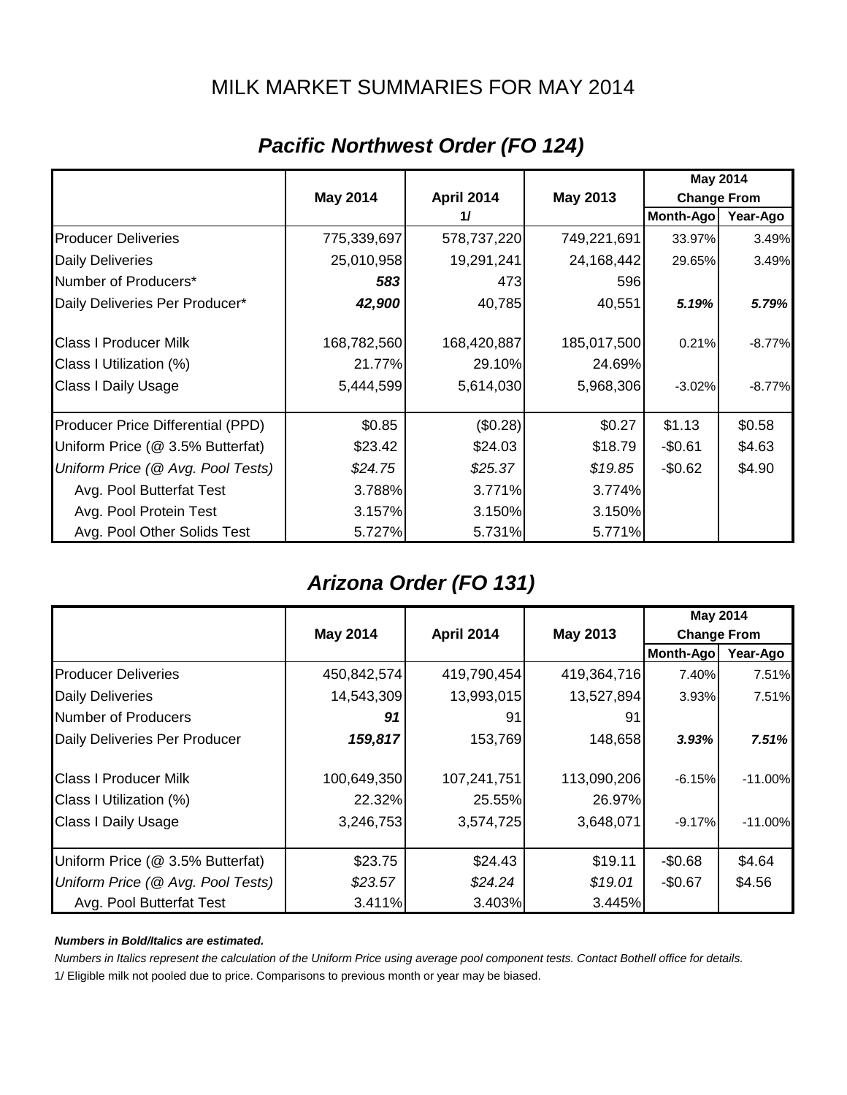## MILK MARKET SUMMARIES FOR MAY 2014

|                                   |                 |             |             | <b>May 2014</b>    |          |
|-----------------------------------|-----------------|-------------|-------------|--------------------|----------|
|                                   | <b>May 2014</b> | April 2014  | May 2013    | <b>Change From</b> |          |
|                                   |                 | 11          |             | <b>Month-Ago</b>   | Year-Ago |
| <b>Producer Deliveries</b>        | 775,339,697     | 578,737,220 | 749,221,691 | 33.97%             | 3.49%    |
| <b>Daily Deliveries</b>           | 25,010,958      | 19,291,241  | 24,168,442  | 29.65%             | 3.49%    |
| Number of Producers*              | 583             | 473         | 596         |                    |          |
| Daily Deliveries Per Producer*    | 42,900          | 40,785      | 40,551      | 5.19%              | 5.79%    |
| <b>Class I Producer Milk</b>      | 168,782,560     | 168,420,887 | 185,017,500 | 0.21%              | $-8.77%$ |
| Class I Utilization (%)           | 21.77%          | 29.10%      | 24.69%      |                    |          |
| <b>Class I Daily Usage</b>        | 5,444,599       | 5,614,030   | 5,968,306   | $-3.02%$           | $-8.77%$ |
| Producer Price Differential (PPD) | \$0.85          | (\$0.28)    | \$0.27      | \$1.13             | \$0.58   |
| Uniform Price (@ 3.5% Butterfat)  | \$23.42         | \$24.03     | \$18.79     | $-$0.61$           | \$4.63   |
| Uniform Price (@ Avg. Pool Tests) | \$24.75         | \$25.37     | \$19.85     | $-$0.62$           | \$4.90   |
| Avg. Pool Butterfat Test          | 3.788%          | 3.771%      | 3.774%      |                    |          |
| Avg. Pool Protein Test            | 3.157%          | 3.150%      | 3.150%      |                    |          |
| Avg. Pool Other Solids Test       | 5.727%          | 5.731%      | 5.771%      |                    |          |

# *Pacific Northwest Order (FO 124)*

# *Arizona Order (FO 131)*

|                                   |             |                                                            |             | <b>May 2014</b> |           |
|-----------------------------------|-------------|------------------------------------------------------------|-------------|-----------------|-----------|
|                                   | May 2014    | <b>April 2014</b><br><b>May 2013</b><br><b>Change From</b> |             |                 |           |
|                                   |             |                                                            |             | Month-Ago       | Year-Ago  |
| <b>Producer Deliveries</b>        | 450,842,574 | 419,790,454                                                | 419,364,716 | 7.40%           | 7.51%     |
| <b>Daily Deliveries</b>           | 14,543,309  | 13,993,015                                                 | 13,527,894  | $3.93\%$        | 7.51%     |
| Number of Producers               | 91          | 91                                                         | 91          |                 |           |
| Daily Deliveries Per Producer     | 159,817     | 153,769                                                    | 148,658     | 3.93%           | 7.51%     |
| <b>Class I Producer Milk</b>      | 100,649,350 | 107,241,751                                                | 113,090,206 | $-6.15%$        | $-11.00%$ |
| Class I Utilization (%)           | 22.32%      | 25.55%                                                     | 26.97%      |                 |           |
| <b>Class I Daily Usage</b>        | 3,246,753   | 3,574,725                                                  | 3,648,071   | $-9.17\%$       | $-11.00%$ |
| Uniform Price (@ 3.5% Butterfat)  | \$23.75     | \$24.43                                                    | \$19.11     | $-$0.68$        | \$4.64    |
| Uniform Price (@ Avg. Pool Tests) | \$23.57     | \$24.24                                                    | \$19.01     | $-$0.67$        | \$4.56    |
| Avg. Pool Butterfat Test          | 3.411%      | 3.403%                                                     | 3.445%      |                 |           |

#### *Numbers in Bold/Italics are estimated.*

*Numbers in Italics represent the calculation of the Uniform Price using average pool component tests. Contact Bothell office for details.*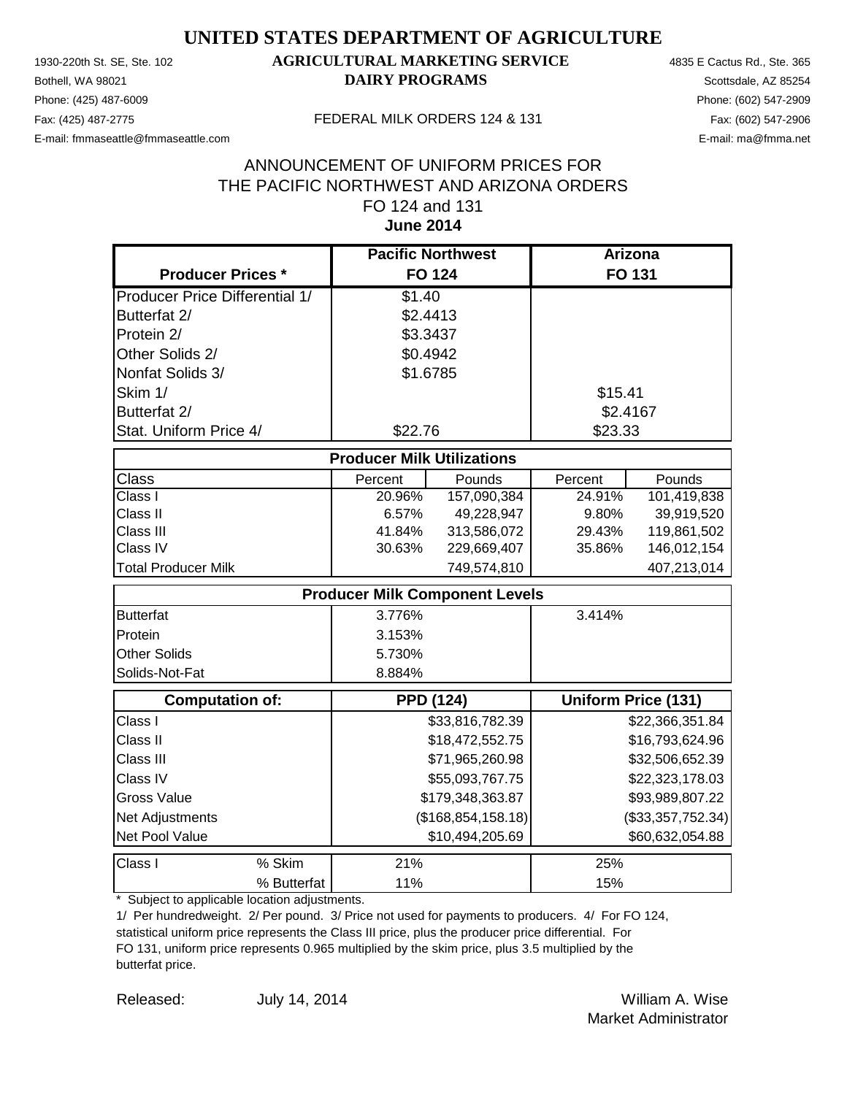Phone: (425) 487-6009 Phone: (602) 547-2909 E-mail: fmmaseattle@fmmaseattle.com E-mail: ma@fmma.net

## 1930-220th St. SE, Ste. 102 **AGRICULTURAL MARKETING SERVICE** 4835 E Cactus Rd., Ste. 365 **Bothell, WA 98021 DAIRY PROGRAMS** Scottsdale, AZ 85254

#### Fax: (425) 487-2775 FEDERAL MILK ORDERS 124 & 131

#### **June 2014** ANNOUNCEMENT OF UNIFORM PRICES FOR THE PACIFIC NORTHWEST AND ARIZONA ORDERS FO 124 and 131

|                                       | <b>Pacific Northwest</b>              |                 | <b>Arizona</b> |                            |
|---------------------------------------|---------------------------------------|-----------------|----------------|----------------------------|
| <b>Producer Prices *</b>              | <b>FO 124</b>                         |                 |                | <b>FO 131</b>              |
| <b>Producer Price Differential 1/</b> | \$1.40                                |                 |                |                            |
| Butterfat 2/                          | \$2.4413                              |                 |                |                            |
| Protein 2/                            | \$3.3437                              |                 |                |                            |
| Other Solids 2/                       | \$0.4942                              |                 |                |                            |
| Nonfat Solids 3/                      | \$1.6785                              |                 |                |                            |
| Skim 1/                               |                                       |                 | \$15.41        |                            |
| Butterfat 2/                          |                                       |                 | \$2.4167       |                            |
| Stat. Uniform Price 4/                | \$22.76                               |                 | \$23.33        |                            |
|                                       | <b>Producer Milk Utilizations</b>     |                 |                |                            |
| Class                                 | Percent                               | Pounds          | Percent        | Pounds                     |
| Class I                               | 20.96%                                | 157,090,384     | 24.91%         | 101,419,838                |
| Class II                              | 6.57%                                 | 49,228,947      | 9.80%          | 39,919,520                 |
| Class III                             | 41.84%                                | 313,586,072     | 29.43%         | 119,861,502                |
| Class IV                              | 30.63%                                | 229,669,407     | 35.86%         | 146,012,154                |
| <b>Total Producer Milk</b>            |                                       | 749,574,810     |                | 407,213,014                |
|                                       | <b>Producer Milk Component Levels</b> |                 |                |                            |
| <b>Butterfat</b>                      | 3.776%                                |                 | 3.414%         |                            |
| Protein                               | 3.153%                                |                 |                |                            |
| <b>Other Solids</b>                   | 5.730%                                |                 |                |                            |
| Solids-Not-Fat                        | 8.884%                                |                 |                |                            |
| <b>Computation of:</b>                | <b>PPD (124)</b>                      |                 |                | <b>Uniform Price (131)</b> |
| Class I                               |                                       | \$33,816,782.39 |                | \$22,366,351.84            |
| Class II                              |                                       | \$18,472,552.75 |                | \$16,793,624.96            |
| Class III                             |                                       | \$71,965,260.98 |                | \$32,506,652.39            |
| Class IV                              |                                       | \$55,093,767.75 |                | \$22,323,178.03            |
| <b>Gross Value</b>                    | \$179,348,363.87                      |                 |                | \$93,989,807.22            |
| Net Adjustments                       | (\$168, 854, 158.18)                  |                 |                | (\$33,357,752.34)          |
| Net Pool Value                        |                                       | \$10,494,205.69 |                | \$60,632,054.88            |
| % Skim<br>Class I                     | 21%                                   |                 | 25%            |                            |
| % Butterfat                           | 11%                                   |                 | 15%            |                            |

\* Subject to applicable location adjustments.

1/ Per hundredweight. 2/ Per pound. 3/ Price not used for payments to producers. 4/ For FO 124, statistical uniform price represents the Class III price, plus the producer price differential. For FO 131, uniform price represents 0.965 multiplied by the skim price, plus 3.5 multiplied by the butterfat price.

Released: William A. Wise Market Administrator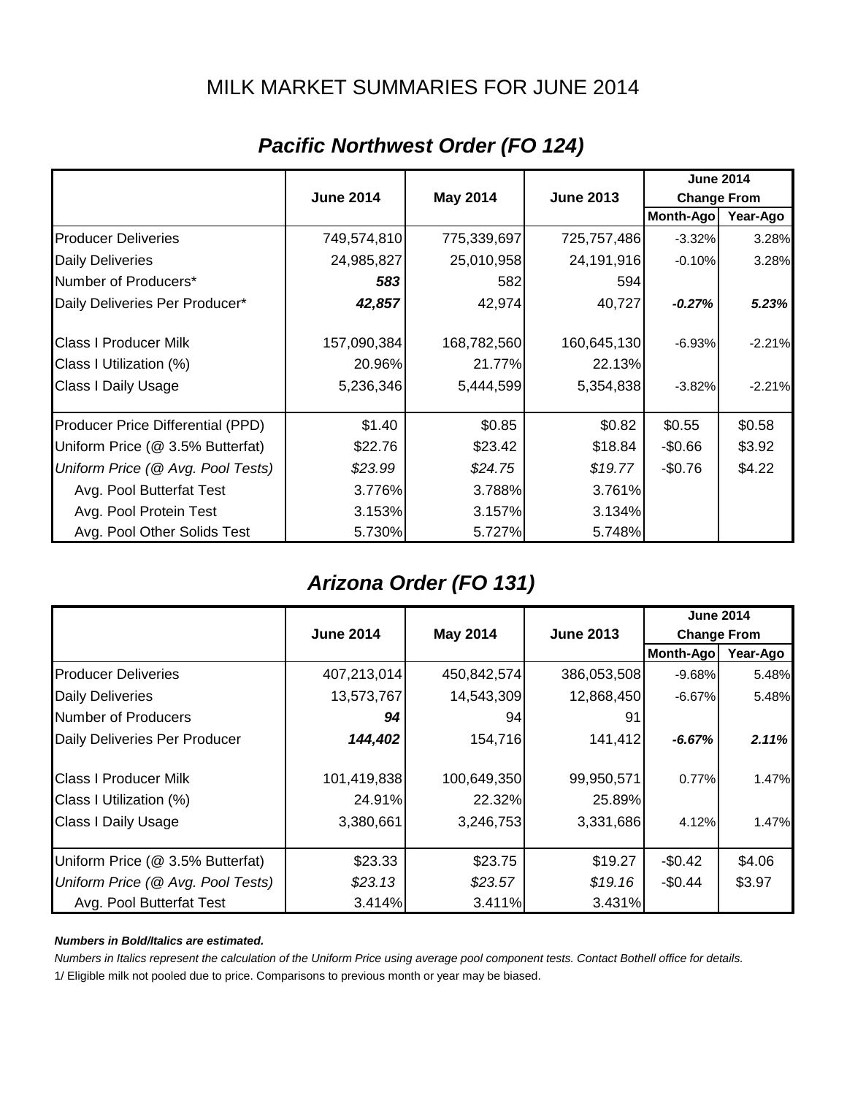## MILK MARKET SUMMARIES FOR JUNE 2014

|                                   |                  |                 |                  | <b>June 2014</b>   |          |
|-----------------------------------|------------------|-----------------|------------------|--------------------|----------|
|                                   | <b>June 2014</b> | <b>May 2014</b> | <b>June 2013</b> | <b>Change From</b> |          |
|                                   |                  |                 |                  | Month-Ago          | Year-Ago |
| <b>Producer Deliveries</b>        | 749,574,810      | 775,339,697     | 725,757,486      | $-3.32%$           | 3.28%    |
| <b>Daily Deliveries</b>           | 24,985,827       | 25,010,958      | 24,191,916       | $-0.10%$           | 3.28%    |
| Number of Producers*              | 583              | 582             | 594              |                    |          |
| Daily Deliveries Per Producer*    | 42,857           | 42,974          | 40,727           | $-0.27%$           | 5.23%    |
| <b>Class I Producer Milk</b>      | 157,090,384      | 168,782,560     | 160,645,130      | $-6.93%$           | $-2.21%$ |
| Class I Utilization (%)           | 20.96%           | 21.77%          | 22.13%           |                    |          |
| Class I Daily Usage               | 5,236,346        | 5,444,599       | 5,354,838        | $-3.82%$           | $-2.21%$ |
| Producer Price Differential (PPD) | \$1.40           | \$0.85          | \$0.82           | \$0.55             | \$0.58   |
| Uniform Price (@ 3.5% Butterfat)  | \$22.76          | \$23.42         | \$18.84          | $-$0.66$           | \$3.92   |
| Uniform Price (@ Avg. Pool Tests) | \$23.99          | \$24.75         | \$19.77          | $-$0.76$           | \$4.22   |
| Avg. Pool Butterfat Test          | 3.776%           | 3.788%          | 3.761%           |                    |          |
| Avg. Pool Protein Test            | 3.153%           | 3.157%          | 3.134%           |                    |          |
| Avg. Pool Other Solids Test       | 5.730%           | 5.727%          | 5.748%           |                    |          |

# *Pacific Northwest Order (FO 124)*

# *Arizona Order (FO 131)*

|                                   |                  |                                     |             | <b>June 2014</b>   |          |
|-----------------------------------|------------------|-------------------------------------|-------------|--------------------|----------|
|                                   | <b>June 2014</b> | <b>May 2014</b><br><b>June 2013</b> |             | <b>Change From</b> |          |
|                                   |                  |                                     |             | Month-Ago          | Year-Ago |
| <b>Producer Deliveries</b>        | 407,213,014      | 450,842,574                         | 386,053,508 | $-9.68\%$          | 5.48%    |
| <b>Daily Deliveries</b>           | 13,573,767       | 14,543,309                          | 12,868,450  | $-6.67\%$          | 5.48%    |
| <b>Number of Producers</b>        | 94               | 94                                  | 91          |                    |          |
| Daily Deliveries Per Producer     | 144,402          | 154,716                             | 141,412     | $-6.67%$           | 2.11%    |
| <b>Class I Producer Milk</b>      | 101,419,838      | 100,649,350                         | 99,950,571  | 0.77%              | 1.47%    |
| Class I Utilization (%)           | 24.91%           | 22.32%                              | 25.89%      |                    |          |
| <b>Class I Daily Usage</b>        | 3,380,661        | 3,246,753                           | 3,331,686   | 4.12%              | 1.47%    |
| Uniform Price (@ 3.5% Butterfat)  | \$23.33          | \$23.75                             | \$19.27     | $-$0.42$           | \$4.06   |
| Uniform Price (@ Avg. Pool Tests) | \$23.13          | \$23.57                             | \$19.16     | $-$0.44$           | \$3.97   |
| Avg. Pool Butterfat Test          | 3.414%           | 3.411%                              | 3.431%      |                    |          |

#### *Numbers in Bold/Italics are estimated.*

*Numbers in Italics represent the calculation of the Uniform Price using average pool component tests. Contact Bothell office for details.*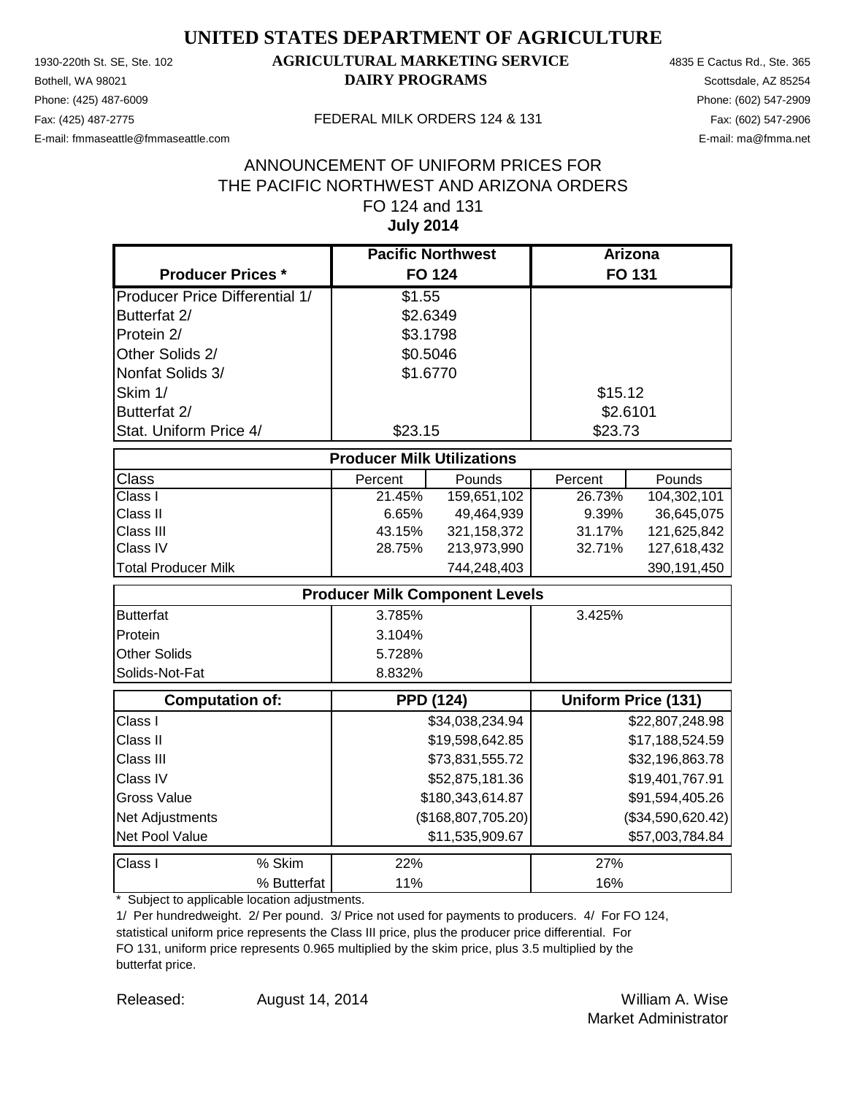Phone: (425) 487-6009 Phone: (602) 547-2909 E-mail: fmmaseattle@fmmaseattle.com E-mail: ma@fmma.net

## 1930-220th St. SE, Ste. 102 **AGRICULTURAL MARKETING SERVICE** 4835 E Cactus Rd., Ste. 365 **Bothell, WA 98021 DAIRY PROGRAMS** Scottsdale, AZ 85254

#### Fax: (425) 487-2775 FEDERAL MILK ORDERS 124 & 131

#### **July 2014** ANNOUNCEMENT OF UNIFORM PRICES FOR THE PACIFIC NORTHWEST AND ARIZONA ORDERS FO 124 and 131

|                                       | <b>Pacific Northwest</b>              |                 |          | <b>Arizona</b>             |
|---------------------------------------|---------------------------------------|-----------------|----------|----------------------------|
| <b>Producer Prices *</b>              | <b>FO 124</b>                         |                 |          | <b>FO 131</b>              |
| <b>Producer Price Differential 1/</b> | $\overline{$}1.55$                    |                 |          |                            |
| Butterfat 2/                          | \$2.6349                              |                 |          |                            |
| Protein 2/                            | \$3.1798                              |                 |          |                            |
| Other Solids 2/                       | \$0.5046                              |                 |          |                            |
| Nonfat Solids 3/                      | \$1.6770                              |                 |          |                            |
| Skim 1/                               |                                       |                 | \$15.12  |                            |
| Butterfat 2/                          |                                       |                 | \$2.6101 |                            |
| Stat. Uniform Price 4/                | \$23.15                               |                 | \$23.73  |                            |
|                                       | <b>Producer Milk Utilizations</b>     |                 |          |                            |
| <b>Class</b>                          | Percent                               | Pounds          | Percent  | Pounds                     |
| Class I                               | 21.45%                                | 159,651,102     | 26.73%   | 104,302,101                |
| Class II                              | 6.65%                                 | 49,464,939      | 9.39%    | 36,645,075                 |
| Class III                             | 43.15%                                | 321,158,372     | 31.17%   | 121,625,842                |
| Class IV                              | 28.75%                                | 213,973,990     | 32.71%   | 127,618,432                |
| <b>Total Producer Milk</b>            |                                       | 744,248,403     |          | 390,191,450                |
|                                       | <b>Producer Milk Component Levels</b> |                 |          |                            |
| <b>Butterfat</b>                      | 3.785%                                |                 | 3.425%   |                            |
| Protein                               | 3.104%                                |                 |          |                            |
| <b>Other Solids</b>                   | 5.728%                                |                 |          |                            |
| Solids-Not-Fat                        | 8.832%                                |                 |          |                            |
| Computation of:                       | <b>PPD (124)</b>                      |                 |          | <b>Uniform Price (131)</b> |
| Class I                               |                                       | \$34,038,234.94 |          | \$22,807,248.98            |
| Class II                              |                                       | \$19,598,642.85 |          | \$17,188,524.59            |
| Class III                             |                                       | \$73,831,555.72 |          | \$32,196,863.78            |
| Class IV                              |                                       | \$52,875,181.36 |          | \$19,401,767.91            |
| <b>Gross Value</b>                    | \$180,343,614.87                      |                 |          | \$91,594,405.26            |
| Net Adjustments                       | (\$168,807,705.20)                    |                 |          | (\$34,590,620.42)          |
| Net Pool Value                        |                                       | \$11,535,909.67 |          | \$57,003,784.84            |
| Class I<br>% Skim                     | 22%                                   |                 | 27%      |                            |
| % Butterfat                           | 11%                                   |                 | 16%      |                            |

\* Subject to applicable location adjustments.

1/ Per hundredweight. 2/ Per pound. 3/ Price not used for payments to producers. 4/ For FO 124, statistical uniform price represents the Class III price, plus the producer price differential. For FO 131, uniform price represents 0.965 multiplied by the skim price, plus 3.5 multiplied by the butterfat price.

Released: William A. Wise August 14, 2014 Market Administrator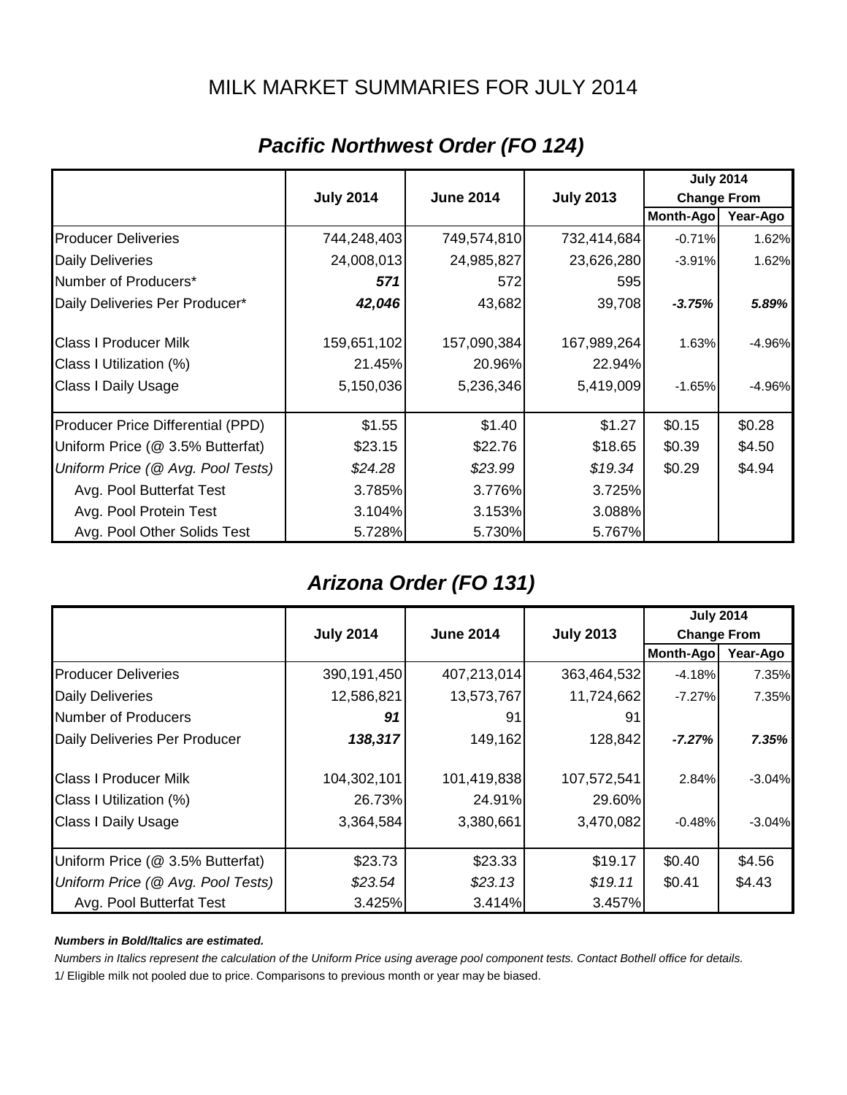## MILK MARKET SUMMARIES FOR JULY 2014

|                                   |                  |                  |                  | <b>July 2014</b>   |          |
|-----------------------------------|------------------|------------------|------------------|--------------------|----------|
|                                   | <b>July 2014</b> | <b>June 2014</b> | <b>July 2013</b> | <b>Change From</b> |          |
|                                   |                  |                  |                  | Month-Ago          | Year-Ago |
| <b>Producer Deliveries</b>        | 744,248,403      | 749,574,810      | 732,414,684      | $-0.71%$           | 1.62%    |
| <b>Daily Deliveries</b>           | 24,008,013       | 24,985,827       | 23,626,280       | $-3.91%$           | 1.62%    |
| Number of Producers*              | 571              | 572              | 595              |                    |          |
| Daily Deliveries Per Producer*    | 42,046           | 43,682           | 39,708           | $-3.75%$           | 5.89%    |
| <b>Class I Producer Milk</b>      | 159,651,102      | 157,090,384      | 167,989,264      | 1.63%              | $-4.96%$ |
| Class I Utilization (%)           | 21.45%           | 20.96%           | 22.94%           |                    |          |
| Class I Daily Usage               | 5,150,036        | 5,236,346        | 5,419,009        | $-1.65%$           | $-4.96%$ |
| Producer Price Differential (PPD) | \$1.55           | \$1.40           | \$1.27           | \$0.15             | \$0.28   |
| Uniform Price (@ 3.5% Butterfat)  | \$23.15          | \$22.76          | \$18.65          | \$0.39             | \$4.50   |
| Uniform Price (@ Avg. Pool Tests) | \$24.28          | \$23.99          | \$19.34          | \$0.29             | \$4.94   |
| Avg. Pool Butterfat Test          | 3.785%           | 3.776%           | 3.725%           |                    |          |
| Avg. Pool Protein Test            | 3.104%           | 3.153%           | 3.088%           |                    |          |
| Avg. Pool Other Solids Test       | 5.728%           | 5.730%           | 5.767%           |                    |          |

# *Pacific Northwest Order (FO 124)*

## *Arizona Order (FO 131)*

|                                   |                                                                                |             |             | <b>July 2014</b> |          |
|-----------------------------------|--------------------------------------------------------------------------------|-------------|-------------|------------------|----------|
|                                   | <b>July 2014</b><br><b>July 2013</b><br><b>June 2014</b><br><b>Change From</b> |             |             |                  |          |
|                                   |                                                                                |             |             | <b>Month-Ago</b> | Year-Ago |
| <b>Producer Deliveries</b>        | 390,191,450                                                                    | 407,213,014 | 363,464,532 | $-4.18%$         | 7.35%    |
| <b>Daily Deliveries</b>           | 12,586,821                                                                     | 13,573,767  | 11,724,662  | $-7.27%$         | 7.35%    |
| Number of Producers               | 91                                                                             | 91          | 91          |                  |          |
| Daily Deliveries Per Producer     | 138,317                                                                        | 149,162     | 128,842     | $-7.27%$         | 7.35%    |
| <b>Class I Producer Milk</b>      | 104,302,101                                                                    | 101,419,838 | 107,572,541 | 2.84%            | $-3.04%$ |
| Class I Utilization (%)           | 26.73%                                                                         | 24.91%      | 29.60%      |                  |          |
| <b>Class I Daily Usage</b>        | 3,364,584                                                                      | 3,380,661   | 3,470,082   | $-0.48%$         | $-3.04%$ |
| Uniform Price (@ 3.5% Butterfat)  | \$23.73                                                                        | \$23.33     | \$19.17     | \$0.40           | \$4.56   |
| Uniform Price (@ Avg. Pool Tests) | \$23.54                                                                        | \$23.13     | \$19.11     | \$0.41           | \$4.43   |
| Avg. Pool Butterfat Test          | 3.425%                                                                         | 3.414%      | 3.457%      |                  |          |

#### *Numbers in Bold/Italics are estimated.*

*Numbers in Italics represent the calculation of the Uniform Price using average pool component tests. Contact Bothell office for details.*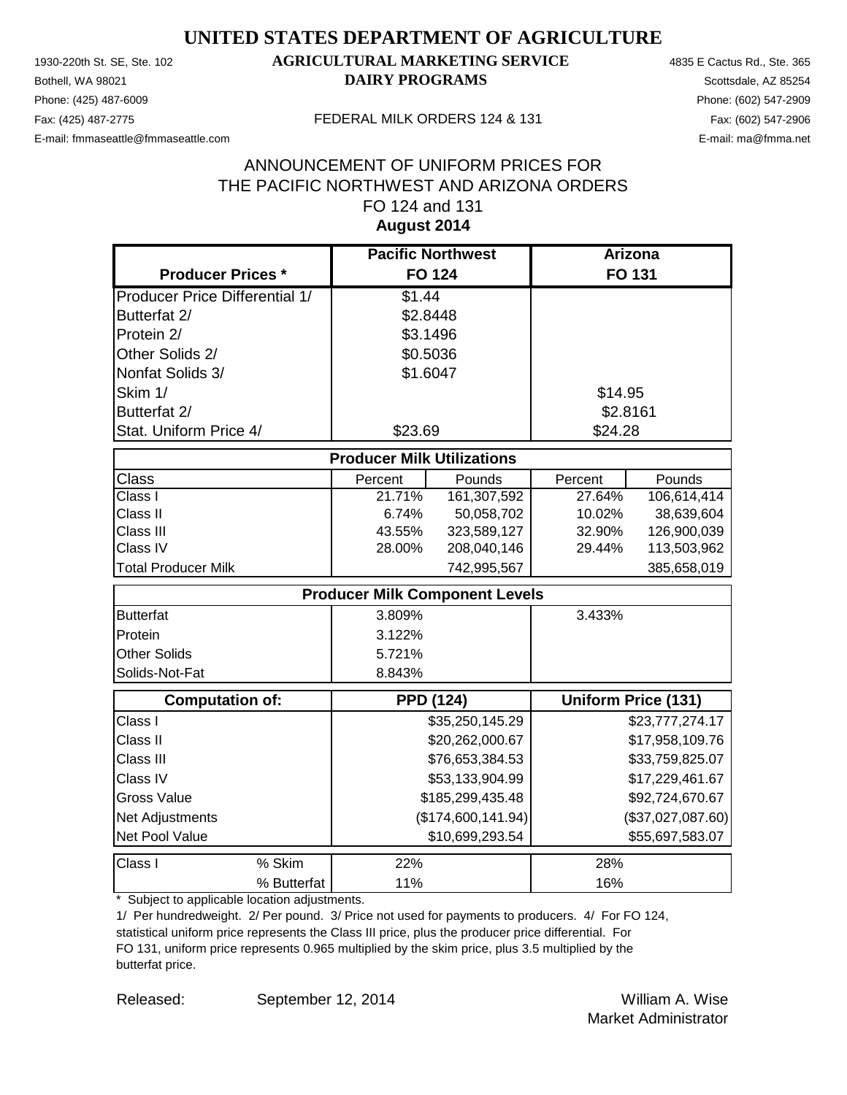Phone: (425) 487-6009 Phone: (602) 547-2909 E-mail: fmmaseattle@fmmaseattle.com E-mail: ma@fmma.net

## 1930-220th St. SE, Ste. 102 **AGRICULTURAL MARKETING SERVICE** 4835 E Cactus Rd., Ste. 365 **Bothell, WA 98021 DAIRY PROGRAMS** Scottsdale, AZ 85254

#### Fax: (425) 487-2775 FEDERAL MILK ORDERS 124 & 131

### **August 2014** ANNOUNCEMENT OF UNIFORM PRICES FOR THE PACIFIC NORTHWEST AND ARIZONA ORDERS FO 124 and 131

|                                       | <b>Pacific Northwest</b>              |                    | <b>Arizona</b> |                            |
|---------------------------------------|---------------------------------------|--------------------|----------------|----------------------------|
| <b>Producer Prices *</b>              | <b>FO 124</b>                         |                    |                | FO 131                     |
| <b>Producer Price Differential 1/</b> | \$1.44                                |                    |                |                            |
| Butterfat 2/                          | \$2.8448                              |                    |                |                            |
| Protein 2/                            | \$3.1496                              |                    |                |                            |
| Other Solids 2/                       | \$0.5036                              |                    |                |                            |
| Nonfat Solids 3/                      | \$1.6047                              |                    |                |                            |
| Skim 1/                               |                                       |                    | \$14.95        |                            |
| Butterfat 2/                          |                                       |                    | \$2.8161       |                            |
| Stat. Uniform Price 4/                | \$23.69                               |                    | \$24.28        |                            |
|                                       | <b>Producer Milk Utilizations</b>     |                    |                |                            |
| <b>Class</b>                          | Percent                               | Pounds             | Percent        | Pounds                     |
| Class I                               | 21.71%                                | 161,307,592        | 27.64%         | 106,614,414                |
| Class II                              | 6.74%                                 | 50,058,702         | 10.02%         | 38,639,604                 |
| Class III                             | 43.55%                                | 323,589,127        | 32.90%         | 126,900,039                |
| Class IV                              | 28.00%                                | 208,040,146        | 29.44%         | 113,503,962                |
| <b>Total Producer Milk</b>            |                                       | 742,995,567        |                | 385,658,019                |
|                                       | <b>Producer Milk Component Levels</b> |                    |                |                            |
| <b>Butterfat</b>                      | 3.809%                                |                    | 3.433%         |                            |
| Protein                               | 3.122%                                |                    |                |                            |
| <b>Other Solids</b>                   | 5.721%                                |                    |                |                            |
| Solids-Not-Fat                        | 8.843%                                |                    |                |                            |
| <b>Computation of:</b>                | <b>PPD (124)</b>                      |                    |                | <b>Uniform Price (131)</b> |
| Class I                               |                                       | \$35,250,145.29    |                | \$23,777,274.17            |
| Class II                              |                                       | \$20,262,000.67    |                | \$17,958,109.76            |
| Class III                             |                                       | \$76,653,384.53    |                | \$33,759,825.07            |
| Class IV                              |                                       | \$53,133,904.99    |                | \$17,229,461.67            |
| <b>Gross Value</b>                    |                                       | \$185,299,435.48   |                | \$92,724,670.67            |
| Net Adjustments                       |                                       | (\$174,600,141.94) |                | (\$37,027,087.60)          |
| Net Pool Value                        |                                       | \$10,699,293.54    |                | \$55,697,583.07            |
| % Skim<br>Class I                     | 22%                                   |                    | 28%            |                            |
| % Butterfat                           | 11%                                   |                    | 16%            |                            |

\* Subject to applicable location adjustments.

1/ Per hundredweight. 2/ Per pound. 3/ Price not used for payments to producers. 4/ For FO 124, statistical uniform price represents the Class III price, plus the producer price differential. For FO 131, uniform price represents 0.965 multiplied by the skim price, plus 3.5 multiplied by the butterfat price.

Released: William A. Wise September 12, 2014 Market Administrator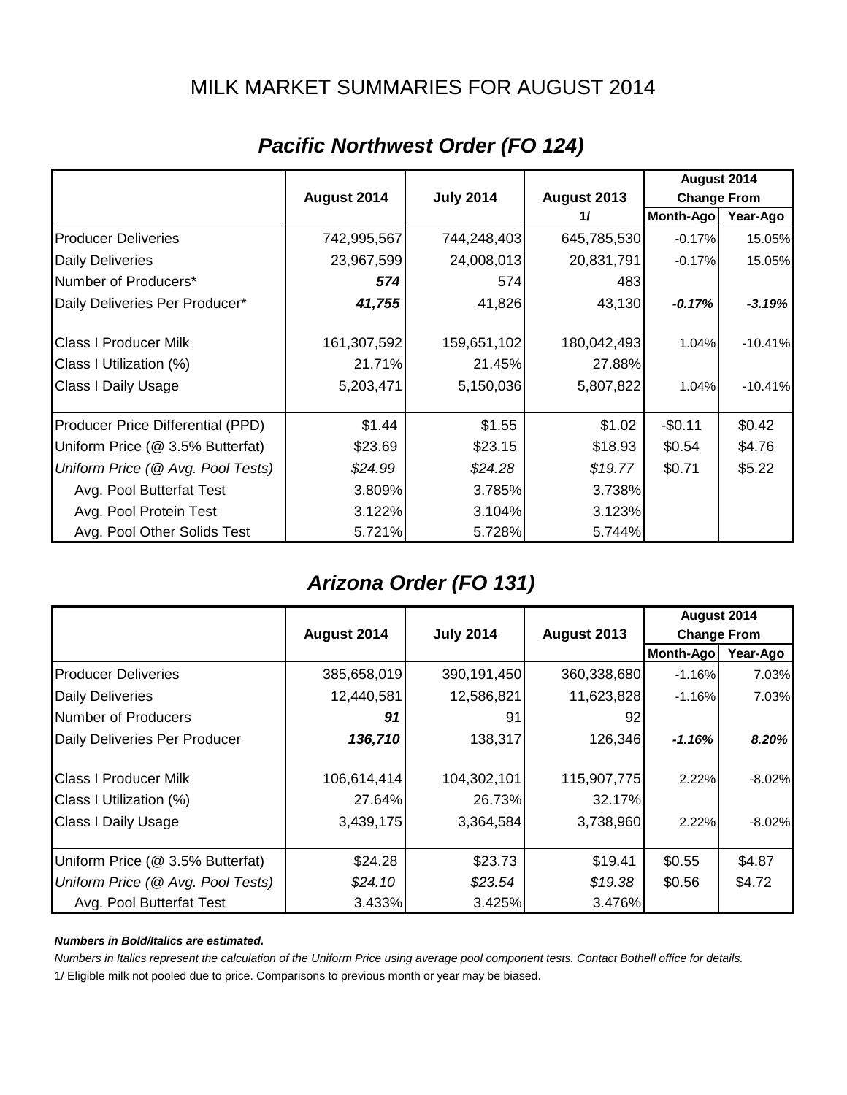## MILK MARKET SUMMARIES FOR AUGUST 2014

|                                   |             |                  |               | August 2014        |           |
|-----------------------------------|-------------|------------------|---------------|--------------------|-----------|
|                                   | August 2014 | <b>July 2014</b> | August 2013   | <b>Change From</b> |           |
|                                   |             |                  | $\frac{1}{2}$ | <b>Month-Ago</b>   | Year-Ago  |
| <b>Producer Deliveries</b>        | 742,995,567 | 744,248,403      | 645,785,530   | $-0.17%$           | 15.05%    |
| <b>Daily Deliveries</b>           | 23,967,599  | 24,008,013       | 20,831,791    | $-0.17%$           | 15.05%    |
| Number of Producers*              | 574         | 574              | 483           |                    |           |
| Daily Deliveries Per Producer*    | 41,755      | 41,826           | 43,130        | $-0.17%$           | $-3.19%$  |
| <b>Class I Producer Milk</b>      | 161,307,592 | 159,651,102      | 180,042,493   | 1.04%              | $-10.41%$ |
| Class I Utilization (%)           | 21.71%      | 21.45%           | 27.88%        |                    |           |
| <b>Class I Daily Usage</b>        | 5,203,471   | 5,150,036        | 5,807,822     | 1.04%              | $-10.41%$ |
| Producer Price Differential (PPD) | \$1.44      | \$1.55           | \$1.02        | $-$0.11$           | \$0.42    |
| Uniform Price (@ 3.5% Butterfat)  | \$23.69     | \$23.15          | \$18.93       | \$0.54             | \$4.76    |
| Uniform Price (@ Avg. Pool Tests) | \$24.99     | \$24.28          | \$19.77       | \$0.71             | \$5.22    |
| Avg. Pool Butterfat Test          | 3.809%      | 3.785%           | 3.738%        |                    |           |
| Avg. Pool Protein Test            | 3.122%      | 3.104%           | 3.123%        |                    |           |
| Avg. Pool Other Solids Test       | 5.721%      | 5.728%           | 5.744%        |                    |           |

# *Pacific Northwest Order (FO 124)*

## *Arizona Order (FO 131)*

|                                   |             |                                 |             | August 2014        |           |
|-----------------------------------|-------------|---------------------------------|-------------|--------------------|-----------|
|                                   | August 2014 | <b>July 2014</b><br>August 2013 |             | <b>Change From</b> |           |
|                                   |             |                                 |             | Month-Ago          | Year-Ago  |
| <b>Producer Deliveries</b>        | 385,658,019 | 390,191,450                     | 360,338,680 | $-1.16%$           | 7.03%     |
| <b>Daily Deliveries</b>           | 12,440,581  | 12,586,821                      | 11,623,828  | $-1.16%$           | 7.03%     |
| Number of Producers               | 91          | 91                              | 92          |                    |           |
| Daily Deliveries Per Producer     | 136,710     | 138,317                         | 126,346     | $-1.16%$           | 8.20%     |
| <b>Class I Producer Milk</b>      | 106,614,414 | 104,302,101                     | 115,907,775 | 2.22%              | $-8.02%$  |
| Class I Utilization (%)           | 27.64%      | 26.73%                          | 32.17%      |                    |           |
| <b>Class I Daily Usage</b>        | 3,439,175   | 3,364,584                       | 3,738,960   | 2.22%              | $-8.02\%$ |
| Uniform Price (@ 3.5% Butterfat)  | \$24.28     | \$23.73                         | \$19.41     | \$0.55             | \$4.87    |
| Uniform Price (@ Avg. Pool Tests) | \$24.10     | \$23.54                         | \$19.38     | \$0.56             | \$4.72    |
| Avg. Pool Butterfat Test          | 3.433%      | 3.425%                          | 3.476%      |                    |           |

#### *Numbers in Bold/Italics are estimated.*

*Numbers in Italics represent the calculation of the Uniform Price using average pool component tests. Contact Bothell office for details.*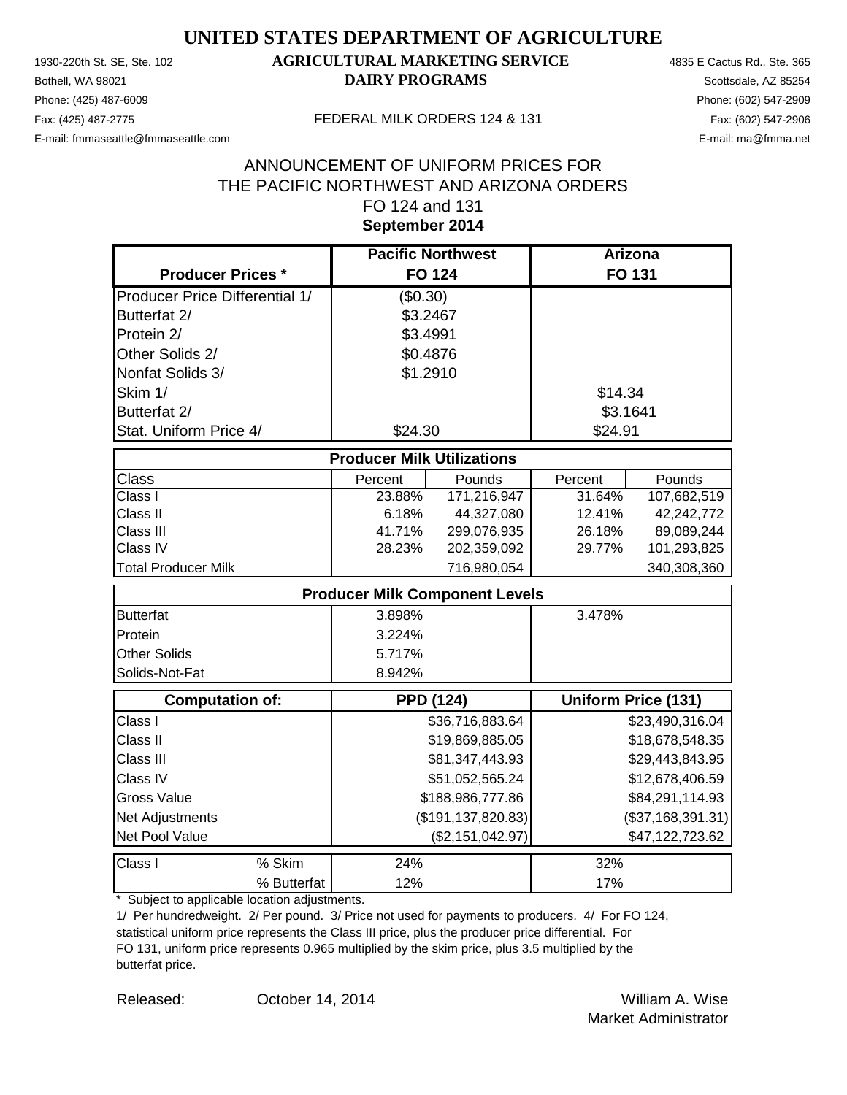Phone: (425) 487-6009 Phone: (602) 547-2909 E-mail: fmmaseattle@fmmaseattle.com E-mail: ma@fmma.net

## 1930-220th St. SE, Ste. 102 **AGRICULTURAL MARKETING SERVICE** 4835 E Cactus Rd., Ste. 365 **Bothell, WA 98021 DAIRY PROGRAMS** Scottsdale, AZ 85254

#### Fax: (425) 487-2775 FEDERAL MILK ORDERS 124 & 131

## **September 2014** ANNOUNCEMENT OF UNIFORM PRICES FOR THE PACIFIC NORTHWEST AND ARIZONA ORDERS FO 124 and 131

|                                       | <b>Pacific Northwest</b>              |                      | <b>Arizona</b> |                            |
|---------------------------------------|---------------------------------------|----------------------|----------------|----------------------------|
| <b>Producer Prices *</b>              |                                       | <b>FO 124</b>        | <b>FO 131</b>  |                            |
| <b>Producer Price Differential 1/</b> | (\$0.30)                              |                      |                |                            |
| Butterfat 2/                          | \$3.2467                              |                      |                |                            |
| Protein 2/                            | \$3.4991                              |                      |                |                            |
| Other Solids 2/                       | \$0.4876                              |                      |                |                            |
| Nonfat Solids 3/                      | \$1.2910                              |                      |                |                            |
| Skim 1/                               |                                       |                      | \$14.34        |                            |
| Butterfat 2/                          |                                       |                      | \$3.1641       |                            |
| Stat. Uniform Price 4/                | \$24.30                               |                      | \$24.91        |                            |
|                                       | <b>Producer Milk Utilizations</b>     |                      |                |                            |
| <b>Class</b>                          | Percent                               | Pounds               | Percent        | Pounds                     |
| Class I                               | 23.88%                                | 171,216,947          | 31.64%         | 107,682,519                |
| Class II                              | 6.18%                                 | 44,327,080           | 12.41%         | 42,242,772                 |
| Class III                             | 41.71%                                | 299,076,935          | 26.18%         | 89,089,244                 |
| Class IV                              | 28.23%                                | 202,359,092          | 29.77%         | 101,293,825                |
| <b>Total Producer Milk</b>            |                                       | 716,980,054          |                | 340,308,360                |
|                                       | <b>Producer Milk Component Levels</b> |                      |                |                            |
| <b>Butterfat</b>                      | 3.898%                                |                      | 3.478%         |                            |
| Protein                               | 3.224%                                |                      |                |                            |
| <b>Other Solids</b>                   | 5.717%                                |                      |                |                            |
| Solids-Not-Fat                        | 8.942%                                |                      |                |                            |
| <b>Computation of:</b>                |                                       | <b>PPD (124)</b>     |                | <b>Uniform Price (131)</b> |
| Class I                               |                                       | \$36,716,883.64      |                | \$23,490,316.04            |
| Class II                              |                                       | \$19,869,885.05      |                | \$18,678,548.35            |
| Class III                             |                                       | \$81,347,443.93      |                | \$29,443,843.95            |
| Class IV                              |                                       | \$51,052,565.24      |                | \$12,678,406.59            |
| <b>Gross Value</b>                    |                                       | \$188,986,777.86     |                | \$84,291,114.93            |
| Net Adjustments                       |                                       | (\$191, 137, 820.83) |                | (\$37,168,391.31)          |
| Net Pool Value                        |                                       | (\$2,151,042.97)     |                | \$47,122,723.62            |
| Class I<br>% Skim                     | 24%                                   |                      | 32%            |                            |
| % Butterfat                           | 12%                                   |                      | 17%            |                            |

\* Subject to applicable location adjustments.

1/ Per hundredweight. 2/ Per pound. 3/ Price not used for payments to producers. 4/ For FO 124, statistical uniform price represents the Class III price, plus the producer price differential. For FO 131, uniform price represents 0.965 multiplied by the skim price, plus 3.5 multiplied by the butterfat price.

Released: William A. Wise October 14, 2014 Market Administrator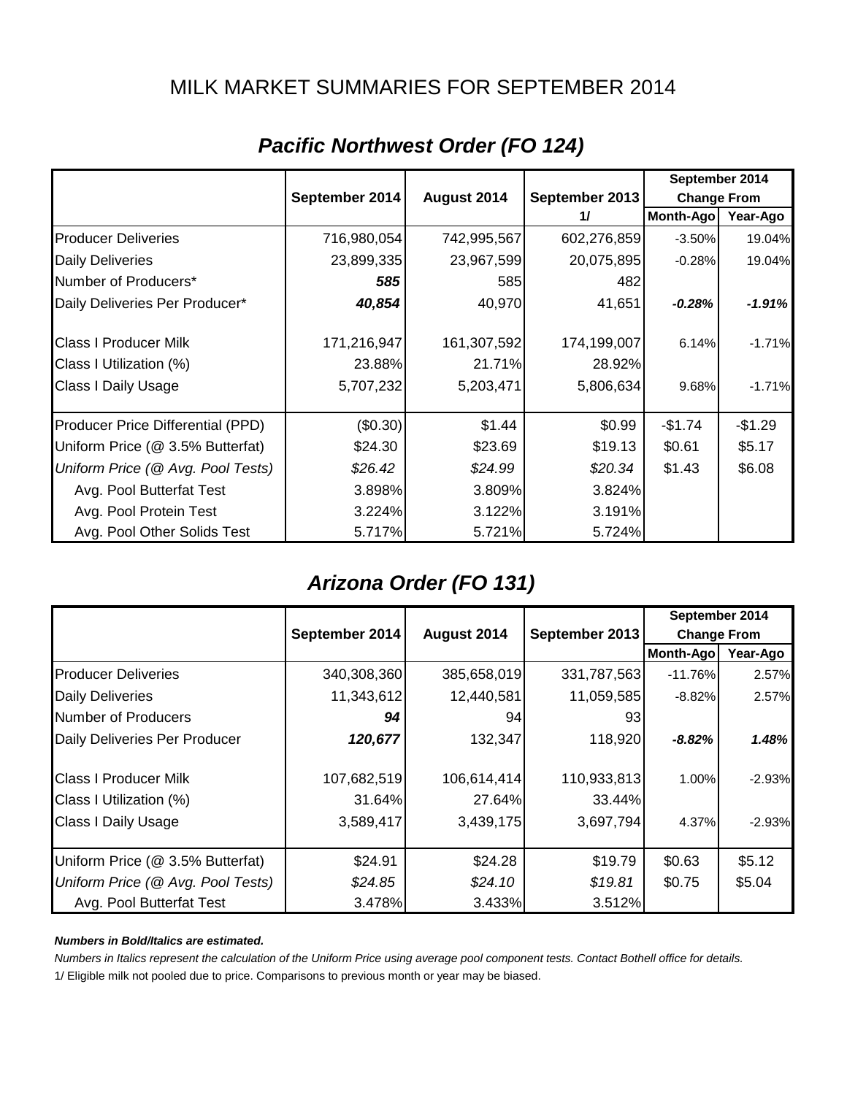## MILK MARKET SUMMARIES FOR SEPTEMBER 2014

|                                   |                |             |                | September 2014     |           |
|-----------------------------------|----------------|-------------|----------------|--------------------|-----------|
|                                   | September 2014 | August 2014 | September 2013 | <b>Change From</b> |           |
|                                   |                |             | 11             | Month-Ago          | Year-Ago  |
| <b>Producer Deliveries</b>        | 716,980,054    | 742,995,567 | 602,276,859    | $-3.50\%$          | 19.04%    |
| <b>Daily Deliveries</b>           | 23,899,335     | 23,967,599  | 20,075,895     | $-0.28%$           | 19.04%    |
| Number of Producers*              | 585            | 585         | 482            |                    |           |
| Daily Deliveries Per Producer*    | 40,854         | 40,970      | 41,651         | $-0.28\%$          | $-1.91%$  |
| <b>Class I Producer Milk</b>      | 171,216,947    | 161,307,592 | 174,199,007    | 6.14%              | $-1.71\%$ |
| Class I Utilization (%)           | 23.88%         | 21.71%      | 28.92%         |                    |           |
| <b>Class I Daily Usage</b>        | 5,707,232      | 5,203,471   | 5,806,634      | 9.68%              | $-1.71\%$ |
| Producer Price Differential (PPD) | (\$0.30)       | \$1.44      | \$0.99         | $-$1.74$           | $-$1.29$  |
| Uniform Price (@ 3.5% Butterfat)  | \$24.30        | \$23.69     | \$19.13        | \$0.61             | \$5.17    |
| Uniform Price (@ Avg. Pool Tests) | \$26.42        | \$24.99     | \$20.34        | \$1.43             | \$6.08    |
| Avg. Pool Butterfat Test          | 3.898%         | 3.809%      | 3.824%         |                    |           |
| Avg. Pool Protein Test            | 3.224%         | 3.122%      | 3.191%         |                    |           |
| Avg. Pool Other Solids Test       | 5.717%         | 5.721%      | 5.724%         |                    |           |

# *Pacific Northwest Order (FO 124)*

## *Arizona Order (FO 131)*

|                                   |                |                               |             | September 2014     |          |
|-----------------------------------|----------------|-------------------------------|-------------|--------------------|----------|
|                                   | September 2014 | September 2013<br>August 2014 |             | <b>Change From</b> |          |
|                                   |                |                               |             | Month-Ago          | Year-Ago |
| <b>Producer Deliveries</b>        | 340,308,360    | 385,658,019                   | 331,787,563 | $-11.76%$          | 2.57%    |
| <b>Daily Deliveries</b>           | 11,343,612     | 12,440,581                    | 11,059,585  | $-8.82%$           | 2.57%    |
| Number of Producers               | 94             | 94                            | 93          |                    |          |
| Daily Deliveries Per Producer     | 120,677        | 132,347                       | 118,920     | $-8.82%$           | 1.48%    |
| <b>Class I Producer Milk</b>      | 107,682,519    | 106,614,414                   | 110,933,813 | 1.00%              | $-2.93%$ |
| Class I Utilization (%)           | 31.64%         | 27.64%                        | 33.44%      |                    |          |
| <b>Class I Daily Usage</b>        | 3,589,417      | 3,439,175                     | 3,697,794   | 4.37%              | $-2.93%$ |
| Uniform Price (@ 3.5% Butterfat)  | \$24.91        | \$24.28                       | \$19.79     | \$0.63             | \$5.12   |
| Uniform Price (@ Avg. Pool Tests) | \$24.85        | \$24.10                       | \$19.81     | \$0.75             | \$5.04   |
| Avg. Pool Butterfat Test          | 3.478%         | 3.433%                        | 3.512%      |                    |          |

#### *Numbers in Bold/Italics are estimated.*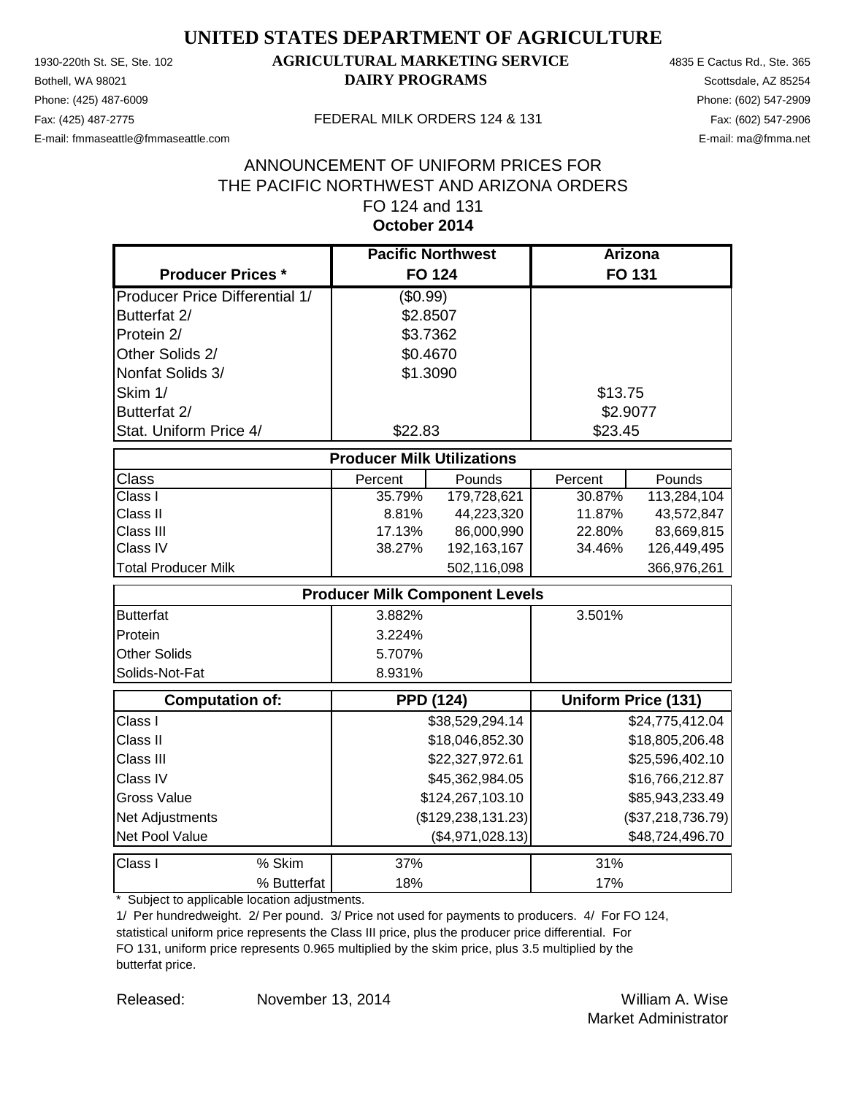Phone: (425) 487-6009 Phone: (602) 547-2909 E-mail: fmmaseattle@fmmaseattle.com E-mail: ma@fmma.net

## 1930-220th St. SE, Ste. 102 **AGRICULTURAL MARKETING SERVICE** 4835 E Cactus Rd., Ste. 365 **Bothell, WA 98021 DAIRY PROGRAMS** Scottsdale, AZ 85254

#### Fax: (425) 487-2775 FEDERAL MILK ORDERS 124 & 131

## **October 2014** ANNOUNCEMENT OF UNIFORM PRICES FOR THE PACIFIC NORTHWEST AND ARIZONA ORDERS FO 124 and 131

|                                       |                                       | <b>Pacific Northwest</b> |          | <b>Arizona</b>             |
|---------------------------------------|---------------------------------------|--------------------------|----------|----------------------------|
| <b>Producer Prices *</b>              |                                       | <b>FO 124</b>            |          | FO 131                     |
| <b>Producer Price Differential 1/</b> | (\$0.99)                              |                          |          |                            |
| Butterfat 2/                          | \$2.8507                              |                          |          |                            |
| Protein 2/                            | \$3.7362                              |                          |          |                            |
| Other Solids 2/                       | \$0.4670                              |                          |          |                            |
| Nonfat Solids 3/                      | \$1.3090                              |                          |          |                            |
| Skim 1/                               |                                       |                          | \$13.75  |                            |
| Butterfat 2/                          |                                       |                          | \$2.9077 |                            |
| Stat. Uniform Price 4/                | \$22.83                               |                          | \$23.45  |                            |
|                                       | <b>Producer Milk Utilizations</b>     |                          |          |                            |
| Class                                 | Percent                               | Pounds                   | Percent  | Pounds                     |
| Class I                               | 35.79%                                | 179,728,621              | 30.87%   | 113,284,104                |
| Class II                              | 8.81%                                 | 44,223,320               | 11.87%   | 43,572,847                 |
| Class III                             | 17.13%                                | 86,000,990               | 22.80%   | 83,669,815                 |
| Class IV                              | 38.27%                                | 192, 163, 167            | 34.46%   | 126,449,495                |
| <b>Total Producer Milk</b>            |                                       | 502,116,098              |          | 366,976,261                |
|                                       | <b>Producer Milk Component Levels</b> |                          |          |                            |
| <b>Butterfat</b>                      | 3.882%                                |                          | 3.501%   |                            |
| Protein                               | 3.224%                                |                          |          |                            |
| <b>Other Solids</b>                   | 5.707%                                |                          |          |                            |
| Solids-Not-Fat                        | 8.931%                                |                          |          |                            |
| <b>Computation of:</b>                |                                       | <b>PPD (124)</b>         |          | <b>Uniform Price (131)</b> |
| Class I                               |                                       | \$38,529,294.14          |          | \$24,775,412.04            |
| Class II                              |                                       | \$18,046,852.30          |          | \$18,805,206.48            |
| Class III                             |                                       | \$22,327,972.61          |          | \$25,596,402.10            |
| Class IV                              |                                       | \$45,362,984.05          |          | \$16,766,212.87            |
| <b>Gross Value</b>                    |                                       | \$124,267,103.10         |          | \$85,943,233.49            |
| Net Adjustments                       |                                       | (\$129, 238, 131.23)     |          | (\$37,218,736.79)          |
| Net Pool Value                        |                                       | (\$4,971,028.13)         |          | \$48,724,496.70            |
| % Skim<br>Class I                     | 37%                                   |                          | 31%      |                            |
| % Butterfat                           | 18%                                   |                          | 17%      |                            |

\* Subject to applicable location adjustments.

1/ Per hundredweight. 2/ Per pound. 3/ Price not used for payments to producers. 4/ For FO 124, statistical uniform price represents the Class III price, plus the producer price differential. For FO 131, uniform price represents 0.965 multiplied by the skim price, plus 3.5 multiplied by the butterfat price.

Released: William A. Wise November 13, 2014 Market Administrator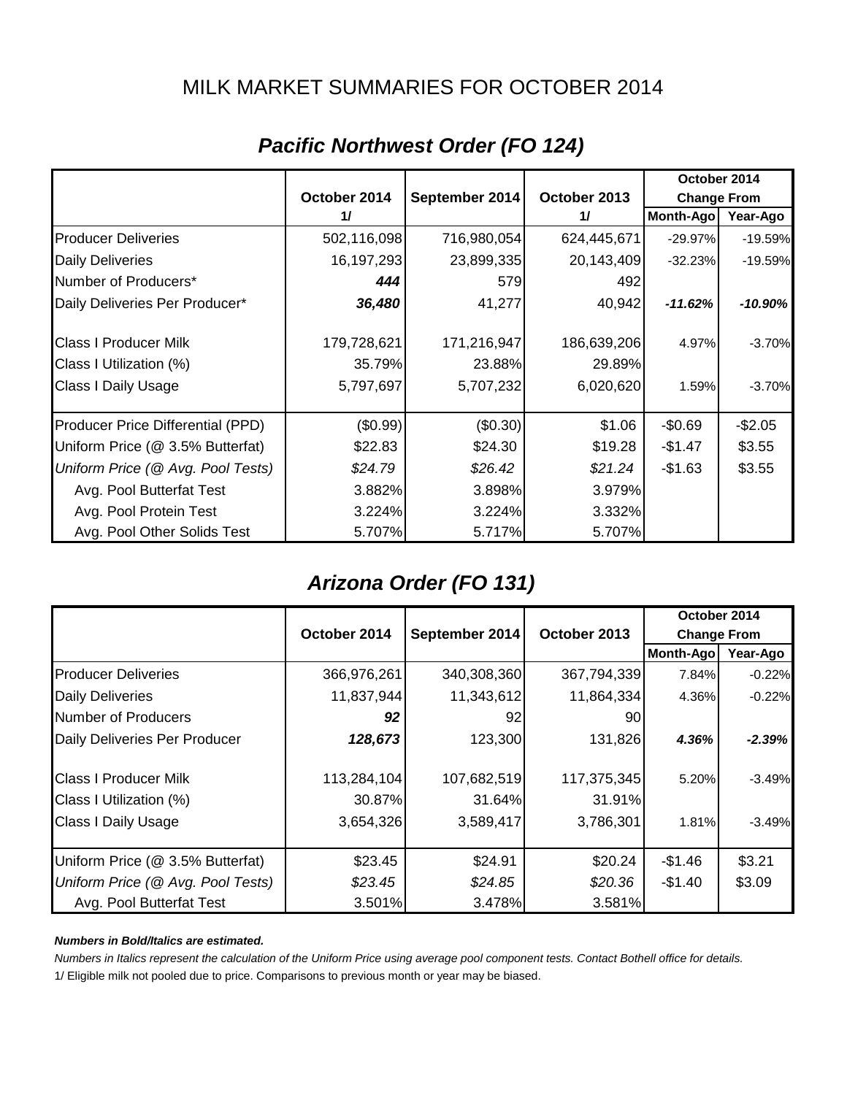## MILK MARKET SUMMARIES FOR OCTOBER 2014

|                                   |              |                |               | October 2014       |           |
|-----------------------------------|--------------|----------------|---------------|--------------------|-----------|
|                                   | October 2014 | September 2014 | October 2013  | <b>Change From</b> |           |
|                                   | 11           |                | $\frac{1}{2}$ | <b>Month-Ago</b>   | Year-Ago  |
| <b>Producer Deliveries</b>        | 502,116,098  | 716,980,054    | 624,445,671   | $-29.97\%$         | $-19.59%$ |
| <b>Daily Deliveries</b>           | 16,197,293   | 23,899,335     | 20,143,409    | $-32.23%$          | $-19.59%$ |
| Number of Producers*              | 444          | 579            | 492           |                    |           |
| Daily Deliveries Per Producer*    | 36,480       | 41,277         | 40,942        | $-11.62%$          | -10.90%   |
| <b>Class I Producer Milk</b>      | 179,728,621  | 171,216,947    | 186,639,206   | 4.97%              | $-3.70%$  |
| Class I Utilization (%)           | 35.79%       | 23.88%         | 29.89%        |                    |           |
| <b>Class I Daily Usage</b>        | 5,797,697    | 5,707,232      | 6,020,620     | 1.59%              | $-3.70%$  |
| Producer Price Differential (PPD) | (\$0.99)     | (\$0.30)       | \$1.06        | $-$0.69$           | $-$2.05$  |
| Uniform Price (@ 3.5% Butterfat)  | \$22.83      | \$24.30        | \$19.28       | $-$1.47$           | \$3.55    |
| Uniform Price (@ Avg. Pool Tests) | \$24.79      | \$26.42        | \$21.24       | $-$1.63$           | \$3.55    |
| Avg. Pool Butterfat Test          | 3.882%       | 3.898%         | 3.979%        |                    |           |
| Avg. Pool Protein Test            | 3.224%       | 3.224%         | 3.332%        |                    |           |
| Avg. Pool Other Solids Test       | 5.707%       | 5.717%         | 5.707%        |                    |           |

# *Pacific Northwest Order (FO 124)*

## *Arizona Order (FO 131)*

|                                   |              |                                                      |             | October 2014     |          |
|-----------------------------------|--------------|------------------------------------------------------|-------------|------------------|----------|
|                                   | October 2014 | October 2013<br>September 2014<br><b>Change From</b> |             |                  |          |
|                                   |              |                                                      |             | <b>Month-Ago</b> | Year-Ago |
| <b>Producer Deliveries</b>        | 366,976,261  | 340,308,360                                          | 367,794,339 | 7.84%            | $-0.22%$ |
| <b>Daily Deliveries</b>           | 11,837,944   | 11,343,612                                           | 11,864,334  | 4.36%            | $-0.22%$ |
| Number of Producers               | 92           | 92                                                   | 90          |                  |          |
| Daily Deliveries Per Producer     | 128,673      | 123,300                                              | 131,826     | 4.36%            | $-2.39%$ |
| <b>Class I Producer Milk</b>      | 113,284,104  | 107,682,519                                          | 117,375,345 | 5.20%            | $-3.49%$ |
| Class I Utilization (%)           | 30.87%       | 31.64%                                               | 31.91%      |                  |          |
| <b>Class I Daily Usage</b>        | 3,654,326    | 3,589,417                                            | 3,786,301   | 1.81%            | $-3.49%$ |
| Uniform Price (@ 3.5% Butterfat)  | \$23.45      | \$24.91                                              | \$20.24     | $-$1.46$         | \$3.21   |
| Uniform Price (@ Avg. Pool Tests) | \$23.45      | \$24.85                                              | \$20.36     | $-$1.40$         | \$3.09   |
| Avg. Pool Butterfat Test          | 3.501%       | 3.478%                                               | 3.581%      |                  |          |

#### *Numbers in Bold/Italics are estimated.*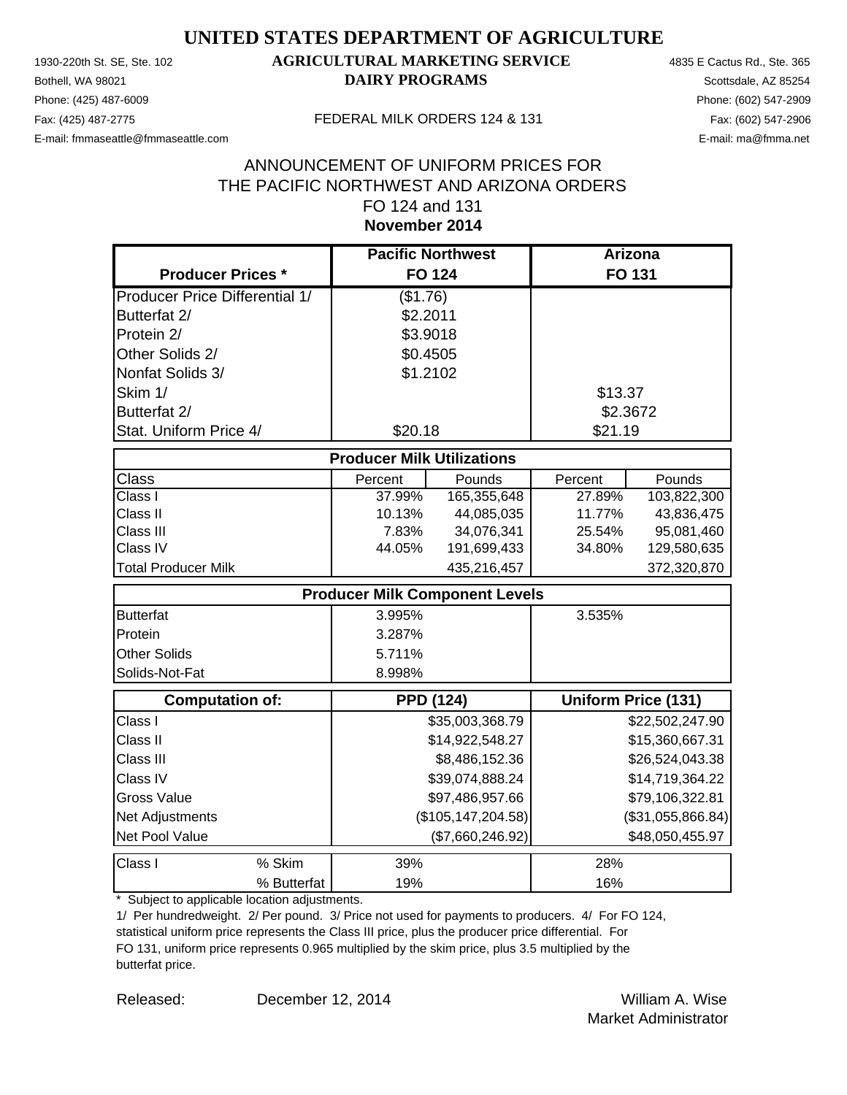Phone: (425) 487-6009 Phone: (602) 547-2909 E-mail: fmmaseattle@fmmaseattle.com E-mail: ma@fmma.net

## 1930-220th St. SE, Ste. 102 **AGRICULTURAL MARKETING SERVICE** 4835 E Cactus Rd., Ste. 365 **Bothell, WA 98021 DAIRY PROGRAMS** Scottsdale, AZ 85254

#### Fax: (425) 487-2775 FEDERAL MILK ORDERS 124 & 131

## **November 2014** ANNOUNCEMENT OF UNIFORM PRICES FOR THE PACIFIC NORTHWEST AND ARIZONA ORDERS FO 124 and 131

|                                       | <b>Pacific Northwest</b>          |                                       | Arizona  |                            |
|---------------------------------------|-----------------------------------|---------------------------------------|----------|----------------------------|
| <b>Producer Prices *</b>              |                                   | <b>FO 124</b>                         |          | <b>FO 131</b>              |
| <b>Producer Price Differential 1/</b> | (\$1.76)                          |                                       |          |                            |
| Butterfat 2/                          | \$2.2011                          |                                       |          |                            |
| Protein 2/                            | \$3.9018                          |                                       |          |                            |
| Other Solids 2/                       | \$0.4505                          |                                       |          |                            |
| Nonfat Solids 3/                      | \$1.2102                          |                                       |          |                            |
| Skim 1/                               |                                   |                                       | \$13.37  |                            |
| Butterfat 2/                          |                                   |                                       | \$2.3672 |                            |
| Stat. Uniform Price 4/                | \$20.18                           |                                       | \$21.19  |                            |
|                                       | <b>Producer Milk Utilizations</b> |                                       |          |                            |
| <b>Class</b>                          | Percent                           | Pounds                                | Percent  | Pounds                     |
| Class I                               | 37.99%                            | 165,355,648                           | 27.89%   | 103,822,300                |
| Class II                              | 10.13%                            | 44,085,035                            | 11.77%   | 43,836,475                 |
| Class III                             | 7.83%                             | 34,076,341                            | 25.54%   | 95,081,460                 |
| Class IV                              | 44.05%                            | 191,699,433                           | 34.80%   | 129,580,635                |
| <b>Total Producer Milk</b>            |                                   | 435,216,457                           |          | 372,320,870                |
|                                       |                                   | <b>Producer Milk Component Levels</b> |          |                            |
| <b>Butterfat</b>                      | 3.995%                            |                                       | 3.535%   |                            |
| Protein                               | 3.287%                            |                                       |          |                            |
| <b>Other Solids</b>                   | 5.711%                            |                                       |          |                            |
| Solids-Not-Fat                        | 8.998%                            |                                       |          |                            |
| <b>Computation of:</b>                |                                   | <b>PPD (124)</b>                      |          | <b>Uniform Price (131)</b> |
| Class I                               |                                   | \$35,003,368.79                       |          | \$22,502,247.90            |
| Class II                              |                                   | \$14,922,548.27                       |          | \$15,360,667.31            |
| Class III                             |                                   | \$8,486,152.36                        |          | \$26,524,043.38            |
| Class IV                              |                                   | \$39,074,888.24                       |          | \$14,719,364.22            |
| <b>Gross Value</b>                    | \$97,486,957.66                   |                                       |          | \$79,106,322.81            |
| Net Adjustments                       | (\$105, 147, 204.58)              |                                       |          | (\$31,055,866.84)          |
| Net Pool Value                        |                                   | (\$7,660,246.92)                      |          | \$48,050,455.97            |
| Class I<br>% Skim                     | 39%                               |                                       | 28%      |                            |
| % Butterfat                           | 19%                               |                                       | 16%      |                            |

\* Subject to applicable location adjustments.

1/ Per hundredweight. 2/ Per pound. 3/ Price not used for payments to producers. 4/ For FO 124, statistical uniform price represents the Class III price, plus the producer price differential. For FO 131, uniform price represents 0.965 multiplied by the skim price, plus 3.5 multiplied by the butterfat price.

Released: William A. Wise December 12, 2014 Market Administrator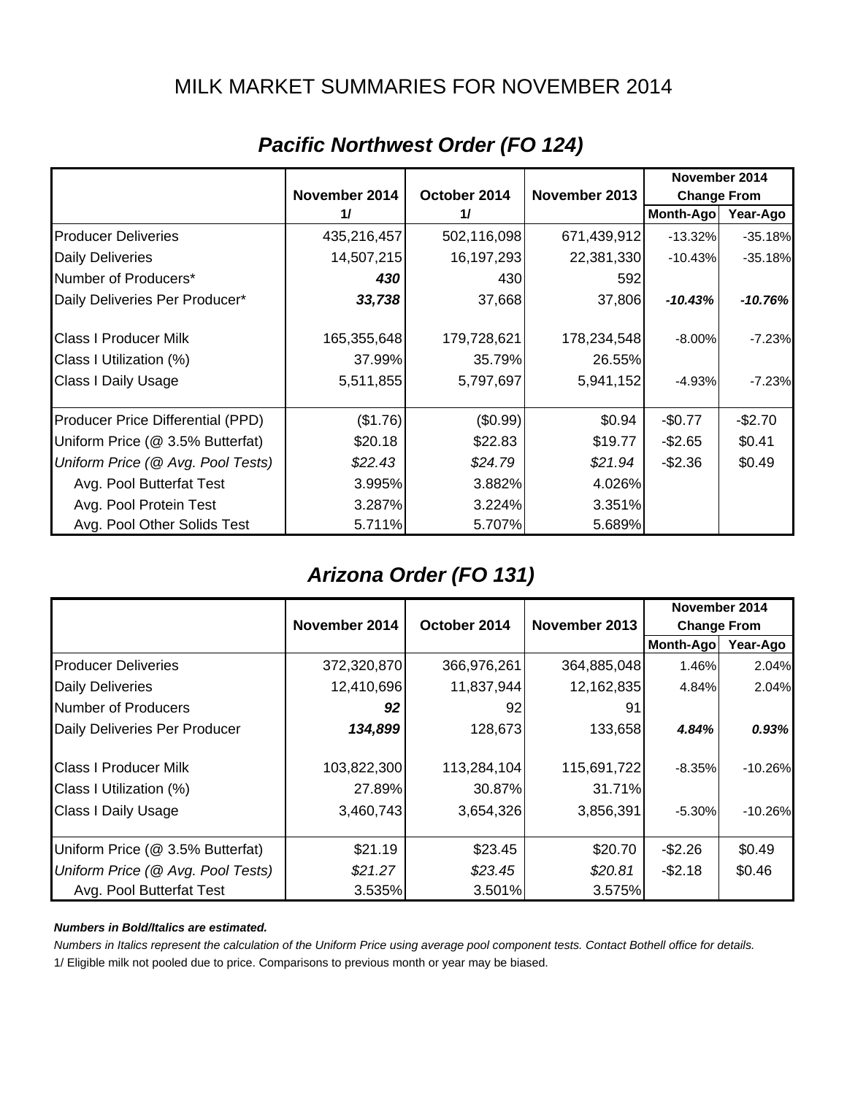## MILK MARKET SUMMARIES FOR NOVEMBER 2014

|                                   | November 2014 |              |               |                    |           |
|-----------------------------------|---------------|--------------|---------------|--------------------|-----------|
|                                   | November 2014 | October 2014 | November 2013 | <b>Change From</b> |           |
|                                   | 11            | 11           |               | <b>Month-Ago</b>   | Year-Ago  |
| <b>Producer Deliveries</b>        | 435,216,457   | 502,116,098  | 671,439,912   | $-13.32%$          | $-35.18%$ |
| <b>Daily Deliveries</b>           | 14,507,215    | 16,197,293   | 22,381,330    | $-10.43%$          | $-35.18%$ |
| Number of Producers*              | 430           | 430          | 592           |                    |           |
| Daily Deliveries Per Producer*    | 33,738        | 37,668       | 37,806        | $-10.43%$          | $-10.76%$ |
| <b>Class I Producer Milk</b>      | 165,355,648   | 179,728,621  | 178,234,548   | $-8.00%$           | $-7.23%$  |
| Class I Utilization (%)           | 37.99%        | 35.79%       | 26.55%        |                    |           |
| <b>Class I Daily Usage</b>        | 5,511,855     | 5,797,697    | 5,941,152     | $-4.93%$           | $-7.23%$  |
| Producer Price Differential (PPD) | (\$1.76)      | (\$0.99)     | \$0.94        | $-$0.77$           | $-$2.70$  |
| Uniform Price (@ 3.5% Butterfat)  | \$20.18       | \$22.83      | \$19.77       | $-$ \$2.65         | \$0.41    |
| Uniform Price (@ Avg. Pool Tests) | \$22.43       | \$24.79      | \$21.94       | $-$ \$2.36         | \$0.49    |
| Avg. Pool Butterfat Test          | 3.995%        | 3.882%       | 4.026%        |                    |           |
| Avg. Pool Protein Test            | 3.287%        | 3.224%       | 3.351%        |                    |           |
| Avg. Pool Other Solids Test       | 5.711%        | 5.707%       | 5.689%        |                    |           |

## *Pacific Northwest Order (FO 124)*

# *Arizona Order (FO 131)*

|                                   |               |              |               | November 2014      |           |
|-----------------------------------|---------------|--------------|---------------|--------------------|-----------|
|                                   | November 2014 | October 2014 | November 2013 | <b>Change From</b> |           |
|                                   |               |              |               | Month-Ago          | Year-Ago  |
| <b>Producer Deliveries</b>        | 372,320,870   | 366,976,261  | 364,885,048   | 1.46%              | 2.04%     |
| <b>Daily Deliveries</b>           | 12,410,696    | 11,837,944   | 12,162,835    | 4.84%              | 2.04%     |
| Number of Producers               | 92            | 92           | 91            |                    |           |
| Daily Deliveries Per Producer     | 134,899       | 128,673      | 133,658       | 4.84%              | 0.93%     |
| <b>Class I Producer Milk</b>      | 103,822,300   | 113,284,104  | 115,691,722   | $-8.35%$           | $-10.26%$ |
| Class I Utilization (%)           | 27.89%        | 30.87%       | 31.71%        |                    |           |
| <b>Class I Daily Usage</b>        | 3,460,743     | 3,654,326    | 3,856,391     | $-5.30\%$          | $-10.26%$ |
| Uniform Price (@ 3.5% Butterfat)  | \$21.19       | \$23.45      | \$20.70       | $-$2.26$           | \$0.49    |
| Uniform Price (@ Avg. Pool Tests) | \$21.27       | \$23.45      | \$20.81       | $-$2.18$           | \$0.46    |
| Avg. Pool Butterfat Test          | 3.535%        | 3.501%       | 3.575%        |                    |           |

#### *Numbers in Bold/Italics are estimated.*

*Numbers in Italics represent the calculation of the Uniform Price using average pool component tests. Contact Bothell office for details.*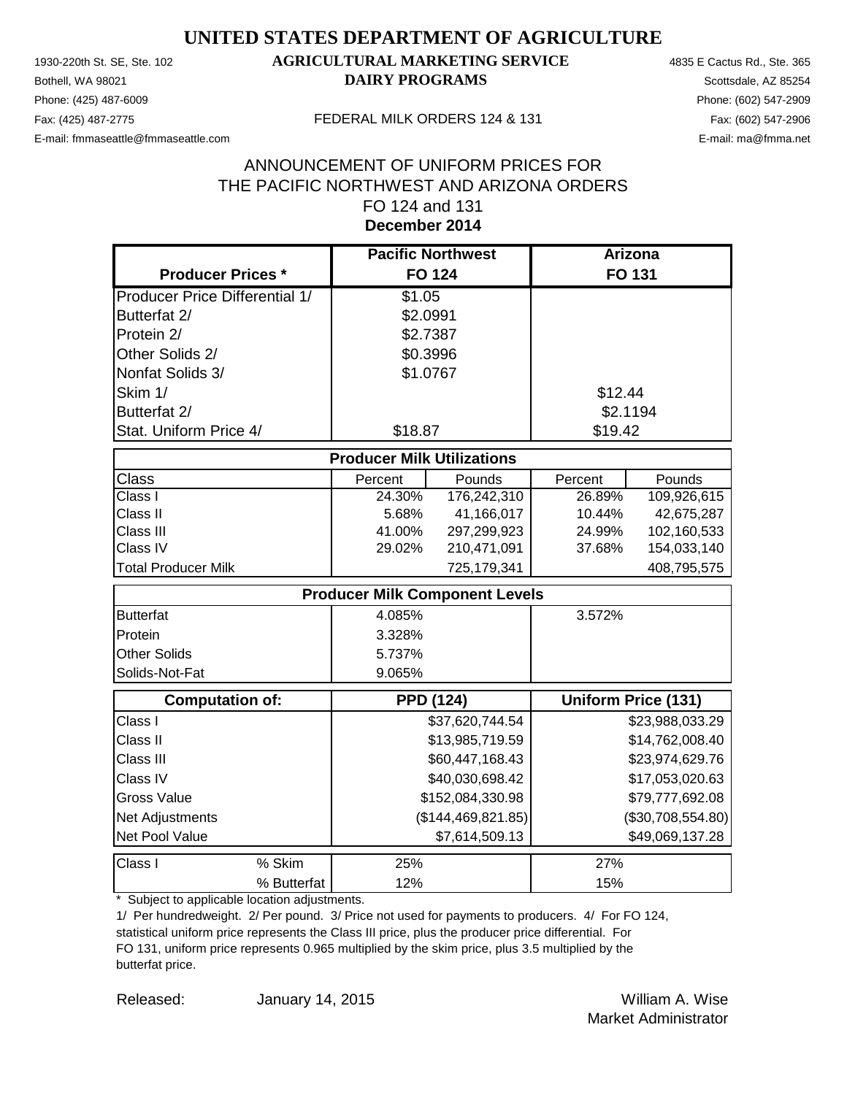Phone: (425) 487-6009 Phone: (602) 547-2909 E-mail: fmmaseattle@fmmaseattle.com E-mail: ma@fmma.net

## 1930-220th St. SE, Ste. 102 **AGRICULTURAL MARKETING SERVICE** 4835 E Cactus Rd., Ste. 365 **Bothell, WA 98021 DAIRY PROGRAMS** Scottsdale, AZ 85254

#### Fax: (425) 487-2775 FEDERAL MILK ORDERS 124 & 131

## **December 2014** ANNOUNCEMENT OF UNIFORM PRICES FOR THE PACIFIC NORTHWEST AND ARIZONA ORDERS FO 124 and 131

|                                       | <b>Pacific Northwest</b>              |                  | <b>Arizona</b> |                            |
|---------------------------------------|---------------------------------------|------------------|----------------|----------------------------|
| <b>Producer Prices *</b>              | <b>FO 124</b>                         |                  |                | <b>FO 131</b>              |
| <b>Producer Price Differential 1/</b> | \$1.05                                |                  |                |                            |
| Butterfat 2/                          | \$2.0991                              |                  |                |                            |
| Protein 2/                            | \$2.7387                              |                  |                |                            |
| Other Solids 2/                       | \$0.3996                              |                  |                |                            |
| Nonfat Solids 3/                      | \$1.0767                              |                  |                |                            |
| Skim 1/                               |                                       |                  | \$12.44        |                            |
| Butterfat 2/                          |                                       |                  | \$2.1194       |                            |
| Stat. Uniform Price 4/                | \$18.87                               |                  | \$19.42        |                            |
|                                       | <b>Producer Milk Utilizations</b>     |                  |                |                            |
| Class                                 | Percent                               | Pounds           | Percent        | Pounds                     |
| Class I                               | 24.30%                                | 176,242,310      | 26.89%         | 109,926,615                |
| Class II                              | 5.68%                                 | 41,166,017       | 10.44%         | 42,675,287                 |
| Class III                             | 41.00%                                | 297,299,923      | 24.99%         | 102,160,533                |
| Class IV                              | 29.02%                                | 210,471,091      | 37.68%         | 154,033,140                |
| <b>Total Producer Milk</b>            |                                       | 725,179,341      |                | 408,795,575                |
|                                       | <b>Producer Milk Component Levels</b> |                  |                |                            |
| <b>Butterfat</b>                      | 4.085%                                |                  | 3.572%         |                            |
| Protein                               | 3.328%                                |                  |                |                            |
| <b>Other Solids</b>                   | 5.737%                                |                  |                |                            |
| Solids-Not-Fat                        | 9.065%                                |                  |                |                            |
| <b>Computation of:</b>                | <b>PPD (124)</b>                      |                  |                | <b>Uniform Price (131)</b> |
| Class I                               |                                       | \$37,620,744.54  |                | \$23,988,033.29            |
| Class II                              |                                       | \$13,985,719.59  |                | \$14,762,008.40            |
| Class III                             |                                       | \$60,447,168.43  |                | \$23,974,629.76            |
| Class IV                              |                                       | \$40,030,698.42  |                | \$17,053,020.63            |
| <b>Gross Value</b>                    |                                       | \$152,084,330.98 |                | \$79,777,692.08            |
| Net Adjustments                       | (\$144,469,821.85)                    |                  |                | (\$30,708,554.80)          |
| Net Pool Value                        |                                       | \$7,614,509.13   |                | \$49,069,137.28            |
| % Skim<br>Class I                     | 25%                                   |                  | 27%            |                            |
| % Butterfat                           | 12%                                   |                  | 15%            |                            |

\* Subject to applicable location adjustments.

1/ Per hundredweight. 2/ Per pound. 3/ Price not used for payments to producers. 4/ For FO 124, statistical uniform price represents the Class III price, plus the producer price differential. For FO 131, uniform price represents 0.965 multiplied by the skim price, plus 3.5 multiplied by the butterfat price.

Released: William A. Wise January 14, 2015 Market Administrator